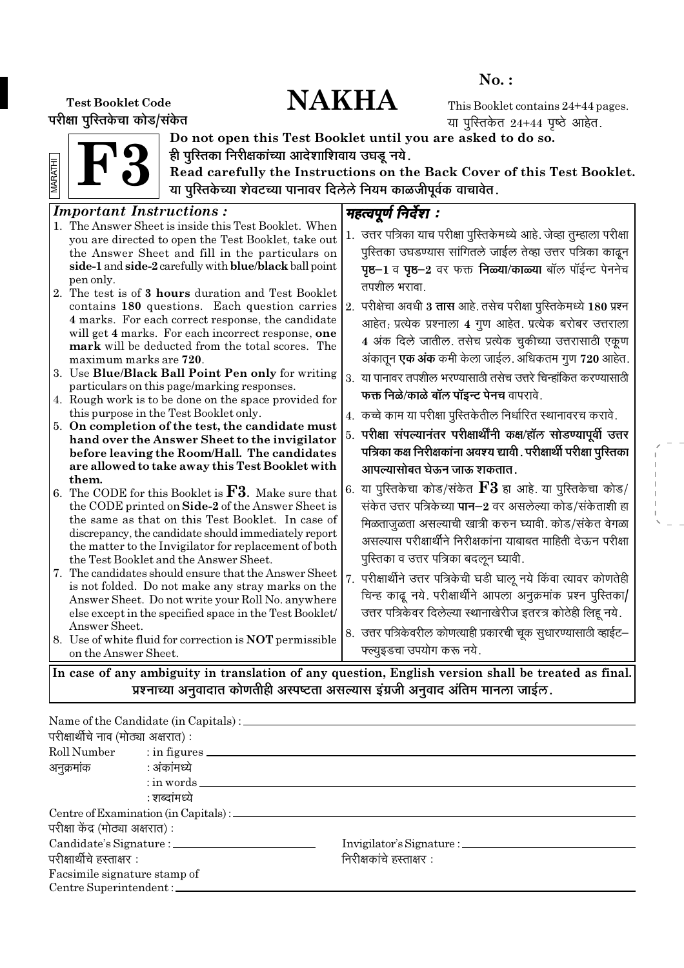# No. :

# Test Booklet Code  $\mathbf{NAKHA}$

परीक्षा पुरितकेचा कोड/संकेत

This Booklet contains 24+44 pages. या पुस्तिकेत  $24+44$  पृष्ठे आहेत.

F3 MARATHI



Do not open this Test Booklet until you are asked to do so. ही पुरितका निरीक्षकांच्या आदेशाशिवाय उघडू नये.

Read carefully the Instructions on the Back Cover of this Test Booklet. या पुरितकेच्या शेवटच्या पानावर दिलेले नियम काळजीपूर्वक वाचावेत.

#### Important Instructions : 1. The Answer Sheet is inside this Test Booklet. When you are directed to open the Test Booklet, take out the Answer Sheet and fill in the particulars on side-1 and side-2 carefully with blue/black ball point pen only. 2. The test is of 3 hours duration and Test Booklet contains 180 questions. Each question carries 4 marks. For each correct response, the candidate will get 4 marks. For each incorrect response, one mark will be deducted from the total scores. The maximum marks are 720. 3. Use Blue/Black Ball Point Pen only for writing particulars on this page/marking responses. 4. Rough work is to be done on the space provided for this purpose in the Test Booklet only. 5. On completion of the test, the candidate must hand over the Answer Sheet to the invigilator before leaving the Room/Hall. The candidates are allowed to take away this Test Booklet with them. 6. The CODE for this Booklet is **. Make sure that** the CODE printed on Side-2 of the Answer Sheet is the same as that on this Test Booklet. In case of discrepancy, the candidate should immediately report the matter to the Invigilator for replacement of both the Test Booklet and the Answer Sheet. 7. The candidates should ensure that the Answer Sheet is not folded. Do not make any stray marks on the Answer Sheet. Do not write your Roll No. anywhere else except in the specified space in the Test Booklet/ Answer Sheet. 8. Use of white fluid for correction is NOT permissible on the Answer Sheet. महत्वपूर्ण निर्देश : 1. उत्तर पत्रिका याच परीक्षा पस्तिकेमध्ये आहे. जेव्हा तम्हाला परीक्षा पुस्तिका उघडण्यास सांगितले जाईल तेव्हा उत्तर पत्रिका काढून **पृष्ठ−1** व पृष्ठ−2 वर फक्त निळ्या/काळ्या बॉल पॉईन्ट पेननेच तपशील भरावा.  $\vert$ 2. परीक्षेचा अवधी **3 तास** आहे. तसेच परीक्षा पुस्तिकेमध्ये 180 प्रश्न आहेत; प्रत्येक प्रश्नाला 4 गुण आहेत. प्रत्येक बरोबर उत्तराला 4 अंक दिले जातील. तसेच प्रत्येक चूकीच्या उत्तरासाठी एकूण अंकातून **एक अंक** कमी केला जाईल. अधिकतम गुण 720 आहेत.  $3.$  या पानावर तपशील भरण्यासाठी तसेच उत्तरे चिन्हांकित करण्यासाठी **फक्त निळे/काळे बॉल पॉइन्ट पेनच** वापरावे. 4. कच्चे काम या परीक्षा पुस्तिकेतील निर्धारित स्थानावरच करावे. 5. परीक्षा संपल्यानंतर परीक्षार्थींनी कक्ष⁄हॉल सोडण्यापूर्वी उत्तर पत्रिका कक्ष निरीक्षकांना अवश्य द्यावी . परीक्षार्थी परीक्षा पु**रित**का आपल्यासोबत घेऊन जाऊ शकतात . 6. या पुस्तिकेचा कोड/संकेत  ${\bf F3}$  हा आहे. या पुस्तिकेचा कोड/ संकेत उत्तर पत्रिकेच्या **पान−2** वर असलेल्या कोड/संकेताशी हा <u>मिळताजळता असल्याची खात्री करुन घ्यावी. कोड/संकेत वेगळा</u> असल्यास परीक्षार्थीने निरीक्षकांना याबाबत माहिती देऊन परीक्षा पुस्तिका व उत्तर पत्रिका बदऌन घ्यावी. 7. परीक्षार्थीने उत्तर पत्रिकेची घडी घाऌ नये किंवा त्यावर कोणतेही चिन्ह काढ़ नये. परीक्षार्थीने आपला अनुक्रमांक प्रश्न पुस्तिका/ उत्तर पत्रिकेवर दिलेल्या स्थानाखेरीज इतरत्र कोठेही लिहू नये. 8. उत्तर पत्रिकेवरील कोणत्याही प्रकारची चूक सुधारण्यासाठी व्हाईट– फ्ल्यूइडचा उपयोग करू नये. In case of any ambiguity in translation of any question, English version shall be treated as final.

प्रश्नाच्या अनुवादात कोणतीही अस्पष्टता असल्यास इंग्रजी अनुवाद अंतिम मानला जाईल.

| परीक्षार्थीचे नाव (मोठ्या अक्षरात) : |                                                  |                          |
|--------------------------------------|--------------------------------------------------|--------------------------|
|                                      | Roll Number : in figures                         |                          |
| अनुक्रमांक : अंकांमध्ये              |                                                  |                          |
|                                      | $:$ in words $\_\_$                              |                          |
|                                      | : शब्दांमध्ये                                    |                          |
|                                      | Centre of Examination (in Capitals) : __________ |                          |
| परीक्षा केंद्र (मोठ्या अक्षरात) :    |                                                  |                          |
|                                      |                                                  |                          |
| परीक्षार्थीचे हस्ताक्षर :            |                                                  | निरीक्षकांचे हस्ताक्षर : |
| Facsimile signature stamp of         |                                                  |                          |
| Centre Superintendent :              |                                                  |                          |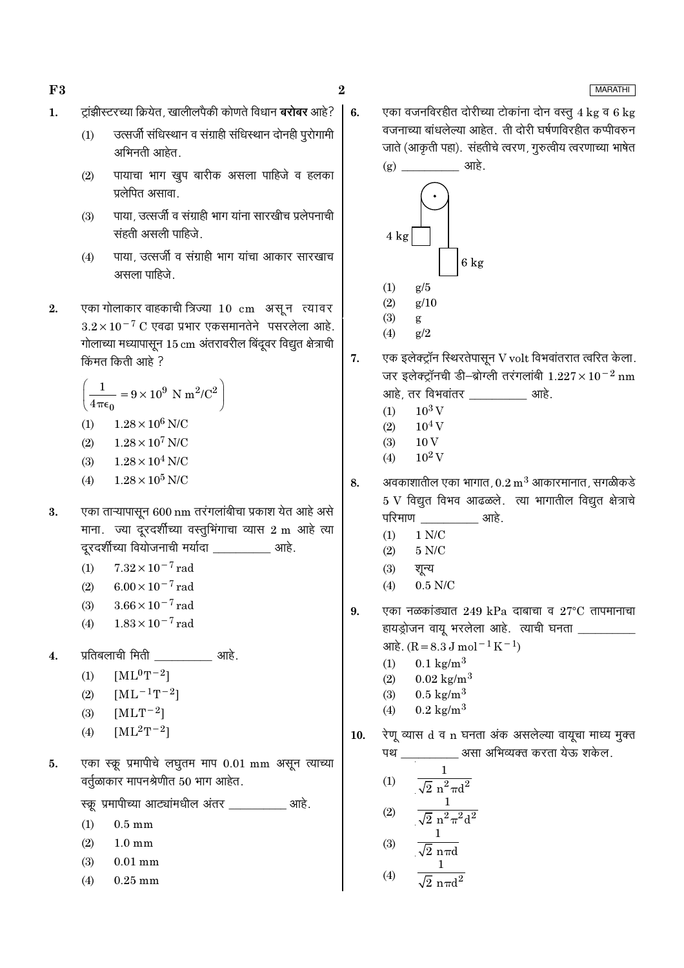$\bf{2}$ 

6.

- ट्रांझीस्टरच्या क्रियेत, खालीलपैकी कोणते विधान **बरोबर** आहे?  $\mathbf{1}$ .
	- उत्सर्जी संधिस्थान व संग्राही संधिस्थान दोनही पुरोगामी  $(1)$ अभिनती आहेत.
	- पायाचा भाग खुप बारीक असला पाहिजे व हलका  $(2)$ प्रलेपित असावा.
	- पाया, उत्सर्जी व संग्राही भाग यांना सारखीच प्रलेपनाची  $(3)$ संहती असली पाहिजे.
	- पाया, उत्सर्जी व संग्राही भाग यांचा आकार सारखाच  $(4)$ असला पाहिजे
- एका गोलाकार वाहकाची त्रिज्या 10 cm असून त्यावर  $2.$  $3.2 \times 10^{-7}$  C एवढा प्रभार एकसमानतेने पसरलेला आहे. गोलाच्या मध्यापासून 15 cm अंतरावरील बिंदूवर विद्युत क्षेत्राची किंमत किती आहे ?

$$
\left(\frac{1}{4\pi\epsilon_0} = 9 \times 10^9 \text{ N m}^2/\text{C}^2\right)
$$
  
(1) 1.28 × 10<sup>6</sup> N/C

(2) 
$$
1.28 \times 10^7
$$
 N/C

- $(3)$  $1.28 \times 10^4$  N/C
- $1.28 \times 10^5$  N/C  $(4)$
- एका ताऱ्यापासून 600 nm तरंगलांबीचा प्रकाश येत आहे असे 3. माना. ज्या दूरदर्शीच्या वस्तुभिंगाचा व्यास 2 m आहे त्या दरदर्शीच्या वियोजनाची मर्यादा ताडिका आहे.
	- $7.32 \times 10^{-7}$  rad  $(1)$
	- $6.00 \times 10^{-7}$  rad  $(2)$
	- $3.66 \times 10^{-7}$  rad  $(3)$
	- $1.83 \times 10^{-7}$  rad  $(4)$
- प्रतिबलाची मिती \_\_\_\_\_\_\_\_\_\_\_\_\_\_\_आहे.  $\overline{4}$ .
	- $[ML^0T^{-2}]$  $(1)$
	- $(2)$  $[ML^{-1}T^{-2}]$
	- $[MLT^{-2}]$  $(3)$
	- $[ML^{2}T^{-2}]$  $(4)$
- एका स्क्रू प्रमापीचे लघुतम माप 0.01 mm असून त्याच्या 5. वर्तुळाकार मापनश्रेणीत 50 भाग आहेत.

स्क्रू प्रमापीच्या आट्यांमधील अंतर \_\_\_\_\_\_\_\_\_\_ आहे.

- $(1)$  $0.5 \text{ mm}$
- $(2)$  $1.0 \text{ mm}$
- $(3)$  $0.01$  mm
- $(4)$  $0.25$  mm

एका वजनविरहीत दोरीच्या टोकांना दोन वस्तु 4 kg व 6 kg वजनाच्या बांधलेल्या आहेत. ती दोरी घर्षणविरहीत कप्पीवरुन जाते (आकृती पहा). संहतीचे त्वरण, गुरुत्वीय त्वरणाच्या भाषेत  $(g)$   $\frac{1}{1}$   $\frac{1}{1}$   $\frac{1}{1}$   $\frac{1}{1}$   $\frac{1}{1}$   $\frac{1}{1}$   $\frac{1}{1}$   $\frac{1}{1}$   $\frac{1}{1}$   $\frac{1}{1}$   $\frac{1}{1}$   $\frac{1}{1}$   $\frac{1}{1}$   $\frac{1}{1}$   $\frac{1}{1}$   $\frac{1}{1}$   $\frac{1}{1}$   $\frac{1}{1}$   $\frac{1}{1}$   $\frac{1}{1}$   $\frac{1}{1}$   $\frac{1}{$ 



- $(4)$  $g/2$
- 7. एक इलेक्ट्रॉन स्थिरतेपासून V volt विभवांतरात त्वरित केला. जर इलेक्ट्रॉनची डी-ब्रोग्ली तरंगलांबी  $1.227 \times 10^{-2}$  nm आहे, तर विभवांतर खाहे.
	- $10^3$  V  $(1)$
	- $10^4$  V  $(2)$
	- $10V$  $(3)$
	- $10^2$  V  $(4)$
- अवकाशातील एका भागात,  $0.2 \text{ m}^3$  आकारमानात, सगळीकडे 8.  $5V$  विद्युत विभव आढळले. त्या भागातील विद्युत क्षेत्राचे परिमाण आहे.
	- $1$  N/C  $\,$  $(1)$
	- $(2)$  $5 N/C$
	- शून्य  $(3)$
	- $(4)$  $0.5$  N/C
- एका नळकांड्यात 249 kPa दाबाचा व  $27^{\circ}$ C तापमानाचा 9. हायड्रोजन वायू भरलेला आहे. त्याची घनता  $\text{snk}$ . (R = 8.3 J mol<sup>-1</sup> K<sup>-1</sup>)
	- $0.1 \text{ kg/m}^3$  $(1)$
	- $0.02 \text{ kg/m}^3$  $(2)$
	- $0.5 \text{ kg/m}^3$  $(3)$
	- $0.2 \text{ kg/m}^3$  $(4)$
- रेणू व्यास d व n घनता अंक असलेल्या वायूचा माध्य मुक्त 10. पथ \_\_\_\_\_\_\_\_\_\_\_\_ असा अभिव्यक्त करता येऊ शकेल.

(1) 
$$
\frac{1}{\sqrt{2} n^2 \pi d^2}
$$
  
(2) 
$$
\frac{1}{\sqrt{2} n^2 \pi^2 d^2}
$$
  
(3) 
$$
\frac{1}{\sqrt{2} n^2 \pi^2 d^2}
$$

(4) 
$$
\sqrt{2} \text{ n} \pi d
$$
  
(4) 
$$
\frac{1}{\sqrt{2} \text{ n} \pi d^2}
$$

**MARATHI** 

 $F3$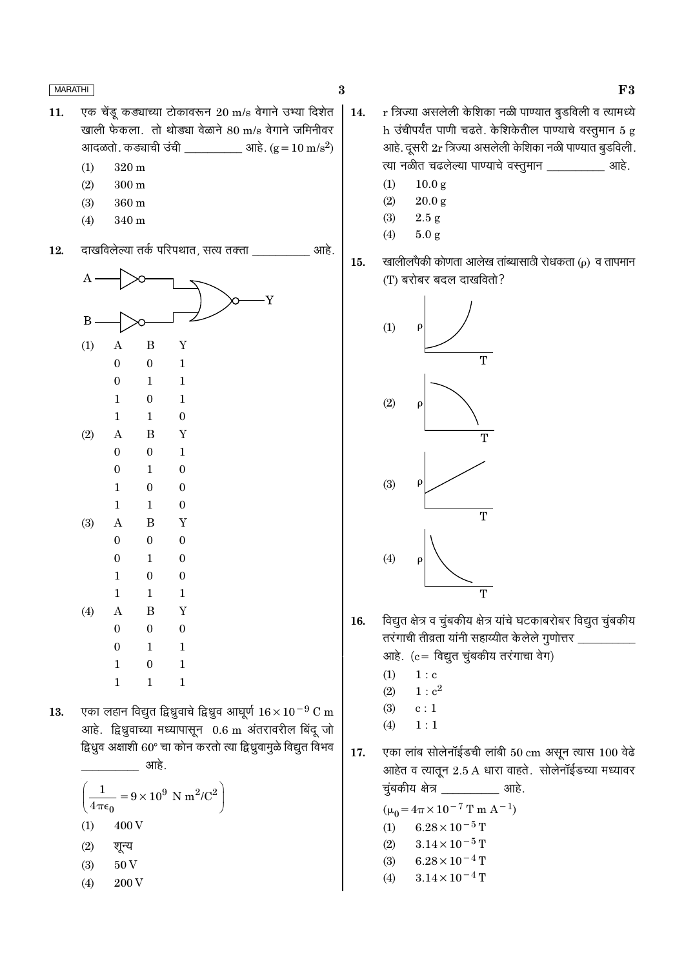$\bf{3}$ 

15.

- एक चेंडू कड्याच्या टोकावरून 20 m/s वेगाने उभ्या दिशेत 11. खाली फेकला. तो थोड्या वेळाने 80 m/s वेगाने जमिनीवर आदळतो. कड्याची उंची 317 आहे. ( $g = 10 \text{ m/s}^2$ )
	- $(1)$  $320 \text{ m}$
	- $(2)$  $300 \text{ m}$
	- $(3)$ 360 m
	- $(4)$  $340<sub>m</sub>$

आहे. 12. दाखविलेल्या तर्क परिपथात, सत्य तक्ता \_\_\_

| A        |                  |                  |                  |
|----------|------------------|------------------|------------------|
| $\bf{B}$ |                  |                  | Y                |
| (1)      | $\mathbf{A}$     | $\boldsymbol{B}$ | Y                |
|          | $\boldsymbol{0}$ | $\boldsymbol{0}$ | $\mathbf{1}$     |
|          | $\boldsymbol{0}$ | $\mathbf 1$      | $\mathbf{1}$     |
|          | $\mathbf{1}$     | $\boldsymbol{0}$ | $\mathbf{1}$     |
|          | $\mathbf{1}$     | $\mathbf 1$      | $\boldsymbol{0}$ |
| (2)      | $\boldsymbol{A}$ | $\boldsymbol{B}$ | $\mathbf Y$      |
|          | $\boldsymbol{0}$ | $\boldsymbol{0}$ | $\mathbf{1}$     |
|          | $\boldsymbol{0}$ | $\mathbf 1$      | $\boldsymbol{0}$ |
|          | $\mathbf{1}$     | $\boldsymbol{0}$ | $\boldsymbol{0}$ |
|          | $\mathbf{1}$     | $\mathbf{1}$     | $\boldsymbol{0}$ |
| (3)      | $\mathbf{A}$     | $\boldsymbol{B}$ | Y                |
|          | $\boldsymbol{0}$ | $\boldsymbol{0}$ | $\boldsymbol{0}$ |
|          | $\boldsymbol{0}$ | $\mathbf 1$      | $\boldsymbol{0}$ |
|          | $\mathbf{1}$     | $\boldsymbol{0}$ | $\boldsymbol{0}$ |
|          | $\mathbf{1}$     | $\mathbf{1}$     | $\mathbf{1}$     |
| (4)      | $\boldsymbol{A}$ | $\boldsymbol{B}$ | $\mathbf Y$      |
|          | $\boldsymbol{0}$ | $\boldsymbol{0}$ | $\boldsymbol{0}$ |
|          | $\boldsymbol{0}$ | $\mathbf 1$      | $\mathbf{1}$     |
|          | $\mathbf{1}$     | $\boldsymbol{0}$ | $\mathbf{1}$     |
|          | $\mathbf{1}$     | $\mathbf{1}$     | $\mathbf{1}$     |

एका लहान विद्युत द्विध्रुवाचे द्विध्रुव आघूर्ण  $16 \times 10^{-9}$  C m 13. आहे. द्विध्रुवाच्या मध्यापासून 0.6 m अंतरावरील बिंदू जो द्विध्रुव अक्षाशी 60° चा कोन करतो त्या द्विध्रुवामुळे विद्युत विभव \_\_\_\_\_\_\_\_\_\_\_\_\_\_\_ आहे.

$$
\left(\frac{1}{4\pi\epsilon_0} = 9 \times 10^9 \text{ N m}^2/\text{C}^2\right)
$$
  
(1) 400 V  
(2)  $\overline{q} = 4$   
(3) 50 V  
(4) 200 V

- r त्रिज्या असलेली केशिका नळी पाण्यात बूडविली व त्यामध्ये 14. h उंचीपर्यंत पाणी चढते. केशिकेतील पाण्याचे वस्तुमान 5 g आहे. दूसरी 2r त्रिज्या असलेली केशिका नळी पाण्यात बुडविली. त्या नळीत चढलेल्या पाण्याचे वस्तूमान खाडी.
	- $(1)$  $10.0 g$
	- $20.0 g$  $(2)$
	- $(3)$  $2.5 g$
	- $(4)$  $5.0 g$

खालीलपैकी कोणता आलेख तांब्यासाठी रोधकता (ρ) व तापमान (T) बरोबर बदल दाखवितो?



- विद्युत क्षेत्र व चुंबकीय क्षेत्र यांचे घटकाबरोबर विद्युत चुंबकीय 16. तरंगाची तीव्रता यांनी सहाय्यीत केलेले गुणोत्तर \_\_\_\_\_\_\_\_\_ आहे. (c = विद्युत चुंबकीय तरंगाचा वेग)
	- $1 : c$  $(1)$
	- $(2)$  $1: c^2$
	- $(3)$  $\ensuremath{\mathbf{c}}\xspace:1$
	- $1:1$  $(4)$

एका लांब सोलेनॉईडची लांबी 50 cm असून त्यास 100 वेढे 17. आहेत व त्यातून 2.5 A धारा वाहते. सोलेनॉईडच्या मध्यावर चुंबकीय क्षेत्र \_\_\_\_\_\_\_\_\_\_\_\_ आहे.

> $(\mu_0 = 4\pi \times 10^{-7}$  T m A<sup>-1</sup>)  $6.28 \times 10^{-5}$  T  $(1)$  $3.14\times10^{-5}\,\mathrm{T}$  $(2)$  $6.28\times10^{-4}\,\mathrm{T}$  $(3)$  $3.14 \times 10^{-4}$  T  $(4)$

F<sub>3</sub>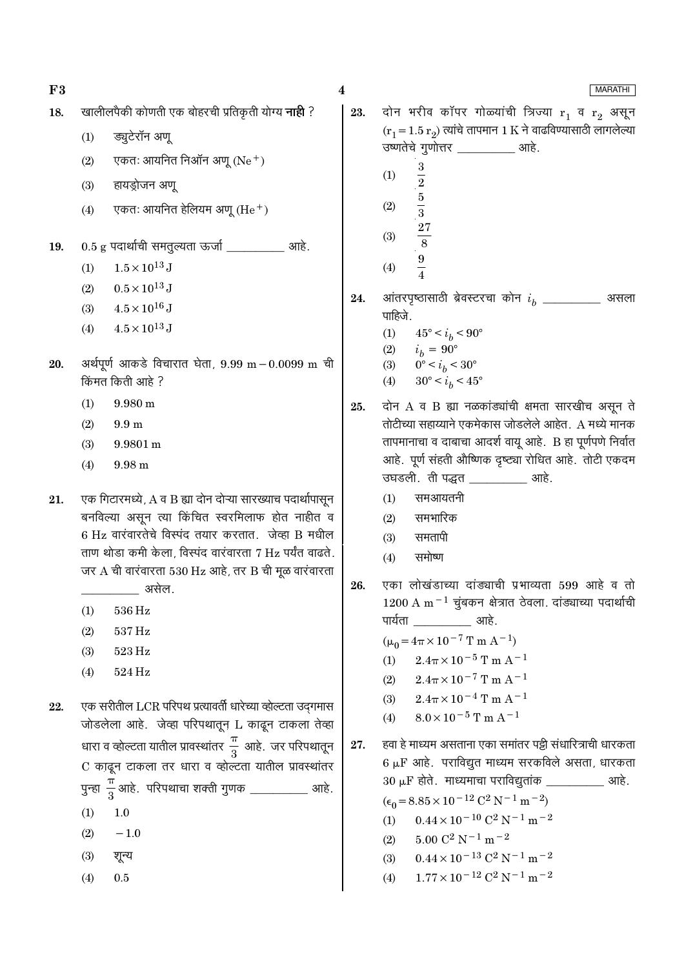**MARATHI** 

दोन भरीव कॉपर गोळ्यांची त्रिज्या  $r_1$  व  $r_2$  असून खालीलपैकी कोणती एक बोहरची प्रतिकृती योग्य **नाही** ? 18. 23.  $(r_1 = 1.5 r_2)$  त्यांचे तापमान 1 K ने वाढविण्यासाठी लागलेल्या ड्यूटेरॉन अण्  $(1)$ उष्णतेचे गुणोत्तर \_\_\_\_\_\_\_\_\_\_\_ आहे. एकतः आयनित निऑन अणू (Ne $^+$ )  $(2)$  $\bf 3$  $(1)$  $\frac{2}{3}$  $(3)$ हायड़ोजन अण्  $(2)$ एकतः आयनित हेलियम अण (He $^+$ )  $(4)$  $(3)$  $0.5$  g पदार्थाची समतुल्यता ऊर्जा \_\_\_\_\_\_\_\_\_\_\_ आहे. 19.  $\frac{9}{4}$  $1.5 \times 10^{13}$  J  $(1)$  $(4)$  $(2)$  $0.5 \times 10^{13}$  J आंतरपृष्ठासाठी ब्रेवस्टरचा कोन  $i_h$  \_\_\_\_\_\_\_\_\_\_ असला 24.  $4.5\times10^{16}\,\mathrm{J}$  $(3)$ पाहिजे.  $4.5 \times 10^{13}$  J  $(4)$  $(1)$  $45^{\circ} < i_h < 90^{\circ}$  $(2)$  $i_b = 90^{\circ}$ अर्थपूर्ण आकडे विचारात घेता,  $9.99 \text{ m} - 0.0099 \text{ m}$  ची 20.  $0^{\circ} < i_b < 30^{\circ}$  $(3)$ किंमत किती आहे ?  $30^{\circ} < i_b < 45^{\circ}$  $(4)$  $(1)$  $9.980 \text{ m}$ दोन A व B ह्या नळकांड्यांची क्षमता सारखीच असन ते 25. तोटीच्या सहाय्याने एकमेकास जोडलेले आहेत. A मध्ये मानक  $(2)$  $9.9<sub>m</sub>$ तापमानाचा व दाबाचा आदर्श वायू आहे. B हा पूर्णपणे निर्वात  $(3)$ 9.9801 m आहे. पूर्ण संहती औष्णिक दृष्ट्या रोधित आहे. तोटी एकदम  $(4)$  $9.98<sub>m</sub>$ उघडली. ती पद्धत \_\_\_\_\_\_\_\_\_\_ आहे. समआयतनी एक गिटारमध्ये, A व B ह्या दोन दोऱ्या सारख्याच पदार्थापासून  $(1)$ 21. बनविल्या असून त्या किंचित स्वरमिलाफ होत नाहीत व समभारिक  $(2)$  $6$  Hz वारंवारतेचे विस्पंद तयार करतात. जेव्हा B मधील समतापी  $(3)$ ताण थोड़ा कमी केला, विस्पंद वारंवारता 7 Hz पर्यंत वाढते. समोष्ण  $(4)$ जर  $A$  ची वारंवारता 530 Hz आहे, तर B ची मूळ वारंवारता एका लोखंडाच्या दांड्याची प्रभाव्यता 599 आहे व तो 26. असेल.  $1200$  A m<sup>-1</sup> चंबकन क्षेत्रात ठेवला. दांड्याच्या पदार्थाची 536 Hz  $(1)$ पार्यता <u>\_\_\_\_\_\_\_\_\_\_\_\_\_</u> आहे.  $(2)$ 537 Hz  $(\mu_0 = 4\pi \times 10^{-7} \text{ T m A}^{-1})$  $(3)$ 523 Hz  $2.4\pi \times 10^{-5}$  T m A<sup>-1</sup>  $(1)$  $(4)$ 524 Hz  $2.4\pi \times 10^{-7}$  T m A<sup>-1</sup>  $(2)$  $2.4\pi \times 10^{-4}$  T m A<sup>-1</sup>  $(3)$ एक सरीतील LCR परिपथ प्रत्यावर्ती धारेच्या व्होल्टता उदगमास 22.  $8.0\times10^{-5}\,\mathrm{T}$  m A  $^{-1}$  $(4)$ जोडलेला आहे. जेव्हा परिपथातून L काढून टाकला तेव्हा धारा व व्होल्टता यातील प्रावस्थांतर $\frac{\pi}{3}$  आहे. जर परिपथातून हवा हे माध्यम असताना एका समांतर पड़ी संधारित्राची धारकता 27.  $6 \mu$ F आहे. पराविद्युत माध्यम सरकविले असता, धारकता C काढून टाकला तर धारा व व्होल्टता यातील प्रावस्थांतर  $30 \mu F$  होते. माध्यमाचा पराविद्युतांक \_\_\_\_\_\_\_\_\_\_\_ आहे. पुन्हा  $\frac{\pi}{3}$ आहे. परिपथाचा शक्ती गुणक \_\_\_\_\_\_ आहे.  $(\epsilon_0 = 8.85 \times 10^{-12} \text{ C}^2 \text{ N}^{-1} \text{ m}^{-2})$  $(1)$  $1.0$  $0.44 \times 10^{-10}$  C<sup>2</sup> N<sup>-1</sup> m<sup>-2</sup>  $(1)$  $(2)$  $-1.0$  $5.00 \text{ C}^2 \text{ N}^{-1} \text{ m}^{-2}$  $(2)$  $0.44 \times 10^{-13}$  C<sup>2</sup> N<sup>-1</sup> m<sup>-2</sup>  $(3)$ शून्य  $(3)$  $1.77 \times 10^{-12}$  C<sup>2</sup> N<sup>-1</sup> m<sup>-2</sup>  $0.5$  $(4)$  $(4)$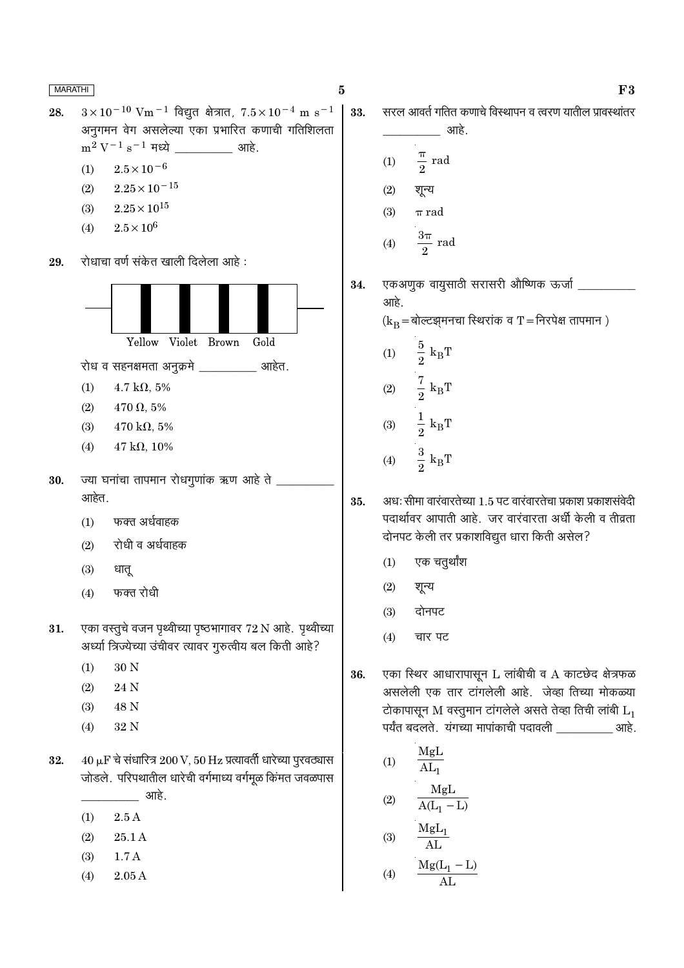30.

 $3 \times 10^{-10}$  Vm<sup>-1</sup> विद्युत क्षेत्रात,  $7.5 \times 10^{-4}$  m s<sup>-1</sup> 28. अनुगमन वेग असलेल्या एका प्रभारित कणाची गतिशिलता  $m^2 V^{-1} s^{-1}$  मध्ये \_\_\_\_\_\_\_\_\_\_\_\_\_ आहे.

- $(1)$  $2.5 \times 10^{-6}$
- $2.25 \times 10^{-15}$  $(2)$
- $2.25 \times 10^{15}$  $(3)$
- $2.5 \times 10^{6}$  $(4)$

रोधाचा वर्ण संकेत खाली दिलेला आहे : 29.



- एका वस्तूचे वजन पृथ्वीच्या पृष्ठभागावर 72 N आहे. पृथ्वीच्या 31. अर्ध्या त्रिज्येच्या उंचीवर त्यावर गुरुत्वीय बल किती आहे?
	- $30<sub>N</sub>$  $(1)$
	- $(2)$ 24 N
	- $(3)$ 48 N
	- $(4)$ 32 N
- 32.  $40 \mu$ F चे संधारित्र  $200 V$ ,  $50 Hz$  प्रत्यावर्ती धारेच्या पुरवठ्यास जोडले. परिपथातील धारेची वर्गमाध्य वर्गमूळ किंमत जवळपास <u>\_\_\_\_\_\_</u> आहे.
	- $2.5A$  $(1)$
	- $(2)$ 25.1 A
	- $(3)$  $1.7A$
	- $2.05A$  $(4)$

सरल आवर्त गतित कणाचे विस्थापन व त्वरण यातील प्रावस्थांतर 33.

- आहे.  $\frac{\pi}{2}$  rad  $(1)$  $(2)$ शून्य
- $(3)$  $\pi$  rad  $\mathbf{R}$

$$
(4) \qquad \frac{3\pi}{2} \text{ rad}
$$

एकअणुक वायुसाठी सरासरी औष्णिक ऊर्जा 34. आहे.  $(k_B = \text{sqrt}$ त्यसमनचा स्थिरांक व T = निरपेक्ष तापमान)  $\frac{5}{2}$  $\rm k_BT$  $(1)$ 

- $\frac{7}{2}$   ${\rm k_BT}$  $(2)$  $\frac{1}{2}$   ${\rm k_BT}$  $(3)$
- $\frac{3}{2} k_B T$  $(4)$
- 35. अध: सीमा वारंवारतेच्या 1.5 पट वारंवारतेचा प्रकाश प्रकाशसंवेदी पदार्थावर आपाती आहे. जर वारंवारता अर्धी केली व तीव्रता दोनपट केली तर प्रकाशविद्युत धारा किती असेल?
	- एक चतुर्थांश  $(1)$
	- $(2)$ शून्य
	- $(3)$ दोनपट
	- चार पट  $(4)$
- एका स्थिर आधारापासून L लांबीची व A काटछेद क्षेत्रफळ 36. असलेली एक तार टांगलेली आहे. जेव्हा तिच्या मोकळ्या टोकापासून M वस्तुमान टांगलेले असते तेव्हा तिची लांबी  $L_1$ पर्यंत बदलते. यंगच्या मापांकाची पदावली \_\_\_\_\_\_\_\_\_\_\_ आहे.

(1) 
$$
\frac{MgL}{AL_1}
$$
  
(2) 
$$
\frac{MgL}{A(L_1 - L)}
$$

$$
(3) \quad \frac{\text{MgL}_1}{\text{m}^2}
$$

$$
(3) \quad \overline{AL}
$$
\n
$$
(4) \quad \frac{Mg(L_1 - L)}{AL}
$$

$$
\bf F3
$$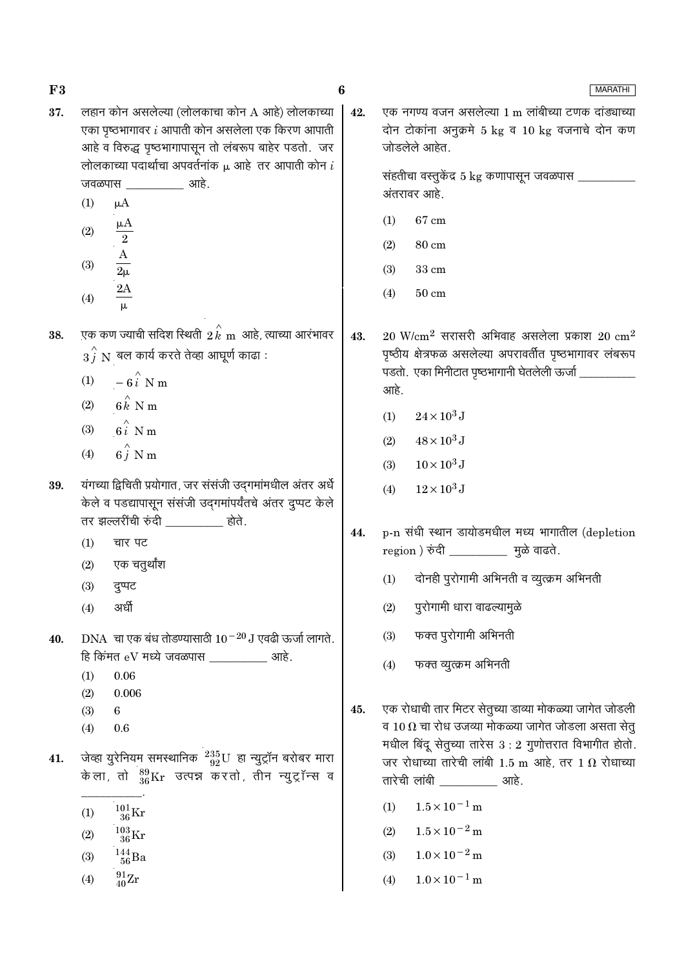| F3  |                                                                                                                                                                | 6   | <b>MARATHI</b>                                                                                                                                                                        |
|-----|----------------------------------------------------------------------------------------------------------------------------------------------------------------|-----|---------------------------------------------------------------------------------------------------------------------------------------------------------------------------------------|
| 37. | लहान कोन असलेल्या (लोलकाचा कोन A आहे) लोलकाच्या<br>एका पृष्ठभागावर $i$ आपाती कोन असलेला एक किरण आपाती<br>आहे व विरुद्ध पृष्ठभागापासून तो लंबरूप बाहेर पडतो. जर | 42. | एक नगण्य वजन असलेल्या 1 m लांबीच्या टणक दांड्याच्या<br>दोन टोकांना अनुक्रमे 5 kg व 10 kg वजनाचे दोन कण<br>जोडलेले आहेत.                                                               |
|     | लोलकाच्या पदार्थाचा अपवर्तनांक $\mu$ आहे तर आपाती कोन $i$<br>जवळपास <u>____________</u> आहे.<br>(1)<br>$\mu A$                                                 |     | संहतीचा वस्तुकेंद्र 5 $\mathrm{kg}$ कणापासून जवळपास ________<br>अंतरावर आहे.                                                                                                          |
|     | $\frac{\mu A}{2}$<br>(2)                                                                                                                                       |     | $67 \text{ cm}$<br>(1)<br>(2)<br>$80 \text{ cm}$                                                                                                                                      |
|     | $\frac{A}{2\mu}$<br>(3)                                                                                                                                        |     | 33 cm<br>(3)<br>$50 \text{ cm}$<br>(4)                                                                                                                                                |
| 38. | $\frac{2A}{\mu}$<br>(4)<br>एक कण ज्याची सदिश स्थिती $\,2\,\overset{\wedge}{k}\,$ m आहे, त्याच्या आरंभावर                                                       | 43. | $20$ W/cm <sup>2</sup> सरासरी अभिवाह असलेला प्रकाश $20$ cm <sup>2</sup>                                                                                                               |
|     | $\stackrel{\frown}{3}^{\phantom{\frown}j}\stackrel{\rrown}{N}$ बल कार्य करते तेव्हा आघूर्ण काढा :<br>(1) $-6\hat{i}$ N m<br>(2) $6k$ N m                       |     | पृष्ठीय क्षेत्रफळ असलेल्या अपरावर्तीत पृष्ठभागावर लंबरूप<br>पडतो. एका मिनीटात पृष्ठभागानी घेतलेली ऊर्जा _<br>आहे.                                                                     |
|     | (3) $6i$ N m<br>$6\hat{j}$ N m<br>(4)                                                                                                                          |     | $24 \times 10^3$ J<br>(1)<br>$48 \times 10^3$ J<br>(2)                                                                                                                                |
| 39. | यंगच्या द्विचिती प्रयोगात, जर संसंजी उद्गमांमधील अंतर अर्धे<br>केले व पडद्यापासून संसंजी उद्गमांपर्यंतचे अंतर दुप्पट केले                                      |     | $10\times10^3\,\mathrm{J}$<br>(3)<br>$12\times10^3\,\mathrm{J}$<br>(4)                                                                                                                |
|     | तर झल्लरींची रुंदी _________ होते.<br>(1)<br>चार पट                                                                                                            | 44. | p-n संधी स्थान डायोडमधील मध्य भागातील (depletion<br>region ) रुंदी _____________ मुळे वाढते.                                                                                          |
|     | एक चतुर्थांश<br>(2)<br>(3)<br>दुप्पट                                                                                                                           |     | $(1)$ दोनही पुरोगामी अभिनती व व्युत्क्रम अभिनती                                                                                                                                       |
| 40. | अर्धी<br>(4)<br>DNA चा एक बंध तोडण्यासाठी $10^{-20}$ J एवढी ऊर्जा लागते.                                                                                       |     | पुरोगामी धारा वाढल्यामुळे<br>(2)<br>फक्त पुरोगामी अभिनती<br>(3)                                                                                                                       |
|     | हि किंमत eV मध्ये जवळपास $\frac{1}{\sqrt{1-\frac{1}{2}}}\$ आहे.<br>$0.06\,$<br>(1)<br>0.006                                                                    | 45. | फक्त व्युत्क्रम अभिनती<br>(4)                                                                                                                                                         |
|     | (2)<br>(3)<br>6<br>0.6<br>(4)                                                                                                                                  |     | एक रोधाची तार मिटर सेतुच्या डाव्या मोकळ्या जागेत जोडली<br>व 10 $\, \Omega \,$ चा रोध उजव्या मोकळ्या जागेत जोडला असता सेतु<br>मधील बिंदू सेतुच्या तारेस $3:2$ गुणोत्तरात विभागीत होतो. |
| 41. | जेव्हा युरेनियम समस्थानिक $^{235}_{92}$ U हा न्युट्रॉन बरोबर मारा<br>केला, तो $^{89}_{36}\text{Kr}$ उत्पन्न करतो, तीन न्युट्रॉन्स व                            |     | जर रोधाच्या तारेची लांबी 1.5 m आहे, तर 1 $\Omega$ रोधाच्या<br>तारेची लांबी ____________ आहे.                                                                                          |
|     | $^{101}_{\phantom{1}36}\mathrm{Kr}$<br>(1)<br>$^{103}_{\phantom{1}36}\rm{Kr}$<br>(2)                                                                           |     | $1.5 \times 10^{-1}$ m<br>(1)<br>$1.5 \times 10^{-2}$ m<br>(2)                                                                                                                        |
|     | $^{144}_{\ 56}$ Ba<br>(3)<br>$^{91}_{40}\rm{Zr}$<br>(4)                                                                                                        |     | $1.0 \times 10^{-2}$ m<br>(3)<br>$1.0 \times 10^{-1}$ m<br>(4)                                                                                                                        |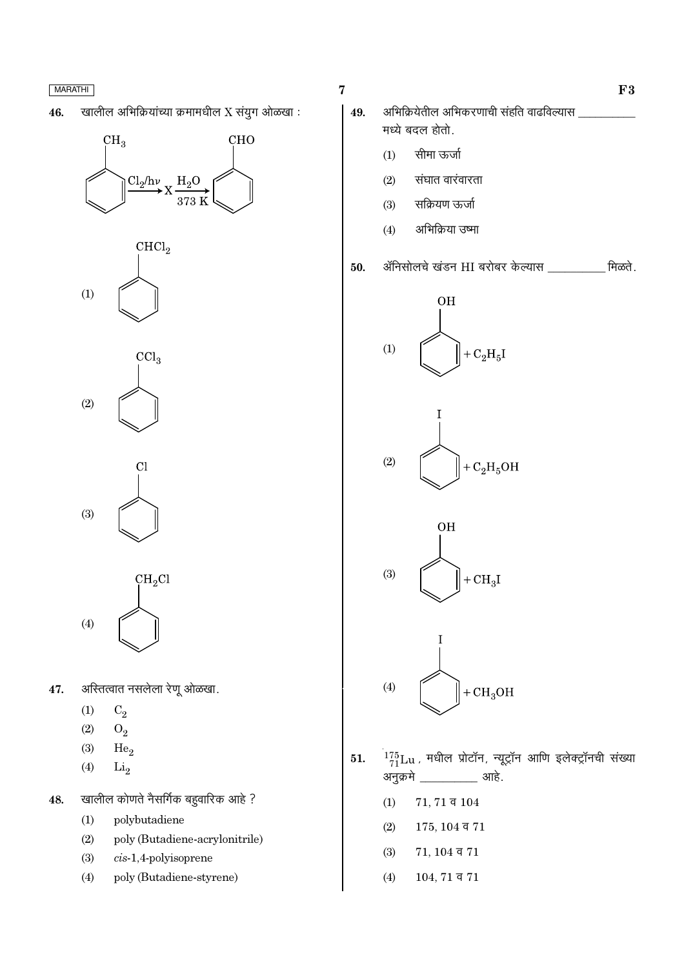खालील अभिक्रियांच्या क्रमामधील X संयुग ओळखा : 46.

# $CH<sub>3</sub>$ **CHO**  $\text{Cl}_2/\text{h}\nu$ <sub>X</sub>  $H_2O$ 373 K



 $\overline{\text{CCl}_3}$  $(2)$ 

 $Cl$  $(3)$ 

 $CH<sub>2</sub>Cl$  $(4)$ 

- अस्तित्वात नसलेला रेणू ओळखा. 47.
	- $(1)$  $C_2$
	- $(2)$  $O_2$
	- $(3)$ He<sub>o</sub>
	- $(4)$  $Li<sub>2</sub>$
- खालील कोणते नैसर्गिक बहुवारिक आहे ? 48.
	- polybutadiene  $(1)$
	- poly (Butadiene-acrylonitrile)  $(2)$
	- $(3)$  $cis-1,4$ -polyisoprene
	- $(4)$ poly (Butadiene-styrene)

 $\overline{7}$ 

- अभिक्रियेतील अभिकरणाची संहति वाढविल्यास 49. मध्ये बदल होतो.
	- सीमा ऊर्जा  $(1)$
	- संघात वारंवारता  $(2)$
	- सक्रियण ऊर्जा  $(3)$
	- अभिक्रिया उष्मा  $(4)$
- ॲनिसोलचे खंडन HI बरोबर केल्यास \_\_\_\_\_\_\_\_\_\_ मिळते. 50.









- $\frac{175}{71}$ Lu, मधील प्रोटॉन, न्यूट्रॉन आणि इलेक्ट्रॉनची संख्या 51. अनुक्रमे \_\_\_\_\_\_\_ आहे.
	- $(1)$  $71, 71$  व  $104$
	- $(2)$  $175, 104$  व  $71$
	- $(3)$  $71, 104$  व  $71$
	- $104, 71$  व  $71$  $(4)$

 $F3$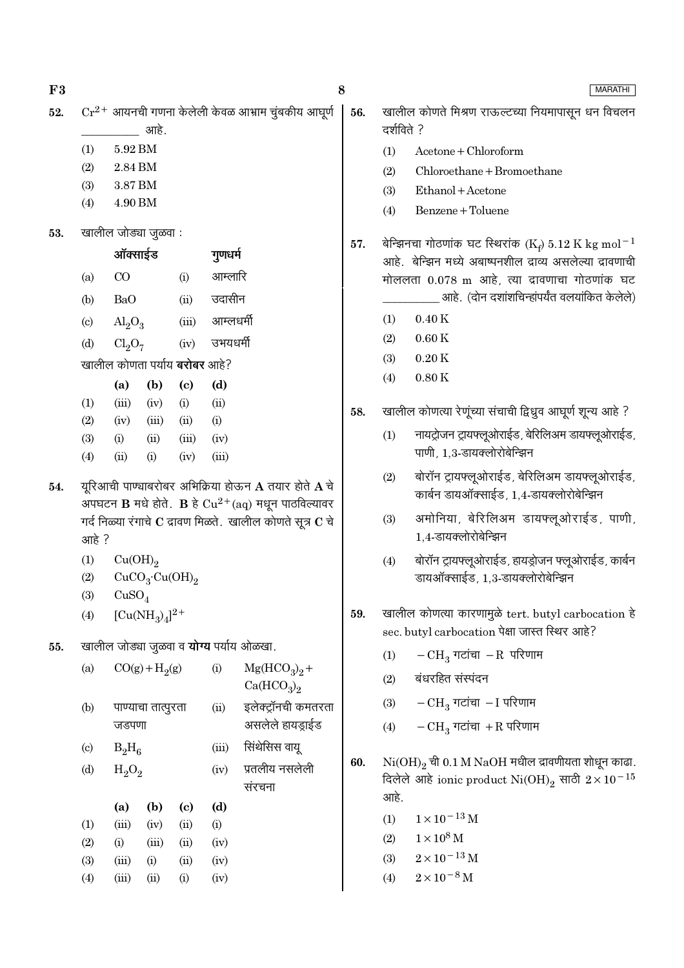$F3$ 52.

- 5.92 BM  $(1)$
- $(2)$ 2.84 BM 3.87 BM
- $(3)$ 4.90 BM  $(4)$
- खालील जोड्या जूळवा : 53.

|                            | ऑक्साईड                              |       |          | गुणधर्म   |
|----------------------------|--------------------------------------|-------|----------|-----------|
| (a)                        | CO                                   |       | (i)      | आम्लारि   |
| (b)                        | BaO                                  |       | (ii)     | उदासीन    |
| $\left( \mathrm{c}\right)$ | $\text{Al}_2\text{O}_3$              |       | (iii)    | आम्लधर्मी |
| (d)                        | $Cl_2O_7$                            |       | (iv)     | उभयधर्मी  |
|                            | खालील कोणता पर्याय <b>बरोबर</b> आहे? |       |          |           |
|                            | (a)                                  | (b)   | (c)      | (d)       |
| (1)                        | (iii)                                | (iv)  | (i)      | (ii)      |
| (2)                        | (iv)                                 | (iii) | (ii)     | (i)       |
| $\sim$                     |                                      |       | $\cdots$ | $\cdots$  |

- $(ii)$  $(iii)$  $(iv)$  $(3)$  $(i)$  $(4)$  $(iii)$  $(ii)$  $(i)$  $(iv)$
- यूरिआची पाण्चाबरोबर अभिक्रिया होऊन  ${\bf A}$  तयार होते  ${\bf A}$  चे 54. अपघटन  $\bf{B}$  मधे होते.  $\bf{B}$  हे  $Cu^{2+}(aq)$  मधून पाठविल्यावर गर्द निळ्या रंगाचे  $\bf C$  द्रावण मिळते. खालील कोणते सूत्र  $\bf C$  चे आहे ?
	- $(1)$  $Cu(OH)_{2}$

$$
{\rm (2)}\quad \quad {\rm CuCO_3\text{-}Cu(OH)_2}
$$

 $CuSO<sub>4</sub>$  $(3)$ 

 $[Cu(NH_3)_4]^{2+}$  $(4)$ 

55. खालील जोड्या जुळवा व **योग्य** पर्याय ओळखा.

| (a)                       | $CO(g) + H2(g)$ |                    |      | (i)   | $Mg(HCO_3)_2 +$<br>Ca(HCO <sub>3</sub> ) <sub>2</sub> |
|---------------------------|-----------------|--------------------|------|-------|-------------------------------------------------------|
| (b)                       | जडपणा           | पाण्याचा तात्पुरता |      | (ii)  | इलेक्ट्रॉनची कमतरता<br>असलेले हायड्राईड               |
| $\left( \text{c} \right)$ | $B_2H_6$        |                    |      | (iii) | सिंथेसिस वायू                                         |
| (d)                       | $H_2O_2$        |                    |      | (iv)  | प्रतलीय नसलेली                                        |
|                           |                 |                    |      |       | संरचना                                                |
|                           | (a)             | (b)                | (c)  | (d)   |                                                       |
| (1)                       | (iii)           | (iv)               | (ii) | (i)   |                                                       |
| (2)                       | (i)             | (iii)              | (ii) | (iv)  |                                                       |
| (3)                       | (iii)           | (i)                | (ii) | (iv)  |                                                       |
| (4)                       | (iii)           | (ii)               | (i)  | (iv)  |                                                       |

56.

खालील कोणते मिश्रण राऊल्टच्या नियमापासून धन विचलन दर्शविते ?

- $(1)$  $Acetone + Chloroform$
- $Chloroethane + Bromoethane$  $(2)$
- $(3)$ Ethanol + Acetone
- Benzene + Toluene  $(4)$

बेन्झिनचा गोठणांक घट स्थिरांक (K<sub>t</sub>) 5.12 K kg mol<sup>-1</sup> 57. आहे. बेन्झिन मध्ये अबाष्पनशील दाव्य असलेल्या दावणाची मोललता 0.078 m आहे. त्या द्रावणाचा गोठणांक घट आहे. (दोन दशांशचिन्हांपर्यंत वलयांकित केलेले)

- $(1)$  $0.40K$
- $(2)$  $0.60K$
- $(3)$  $0.20K$
- $0.80K$  $(4)$
- खालील कोणत्या रेणूंच्या संचाची द्विध्रुव आघूर्ण शून्य आहे ? 58.
	- नायट्रोजन ट्रायफ्लूओराईड, बेरिलिअम डायफ्लूओराईड,  $(1)$ पाणी, 1,3-डायक्लोरोबेन्झिन
	- बोरॉन ट्रायफ्लूओराईड, बेरिलिअम डायफ्लूओराईड,  $(2)$ कार्बन डायऑक्साईड, 1,4-डायक्लोरोबेन्झिन
	- अमोनिया, बेरिलिअम डायफ्लूओराईड, पाणी,  $(3)$ 1.4-डायक्लोरोबेन्झिन
	- बोरॉन ट्रायफ्लूओराईड, हायड्रोजन फ्लूओराईड, कार्बन  $(4)$ डायऑक्साईड, 1,3-डायक्लोरोबेन्झिन
- खालील कोणत्या कारणामुळे tert. butyl carbocation हे 59. sec. butyl carbocation पेक्षा जास्त स्थिर आहे?
	- $-CH_3$  गटांचा  $-R$  परिणाम  $(1)$
	- बंधरहित संस्पंदन  $(2)$
	- $-CH_3$  गटांचा  $-I$  परिणाम  $(3)$
	- $-CH_3$  गटांचा +R परिणाम  $(4)$
- 60.  $\mathrm{Ni(OH)}_{2}$  ची 0.1 M NaOH मधील द्रावणीयता शोधून काढा. दिलेले आहे ionic product  $\mathrm{Ni(OH)}_{2}$  साठी  $2\times10^{-15}$ आहे.
	- $1\times10^{-13}\,\mathrm{M}$  $(1)$
	- $1 \times 10^8$  M  $(2)$
	- $(3)$  $2 \times 10^{-13}$  M
	- $2 \times 10^{-8}$  M  $(4)$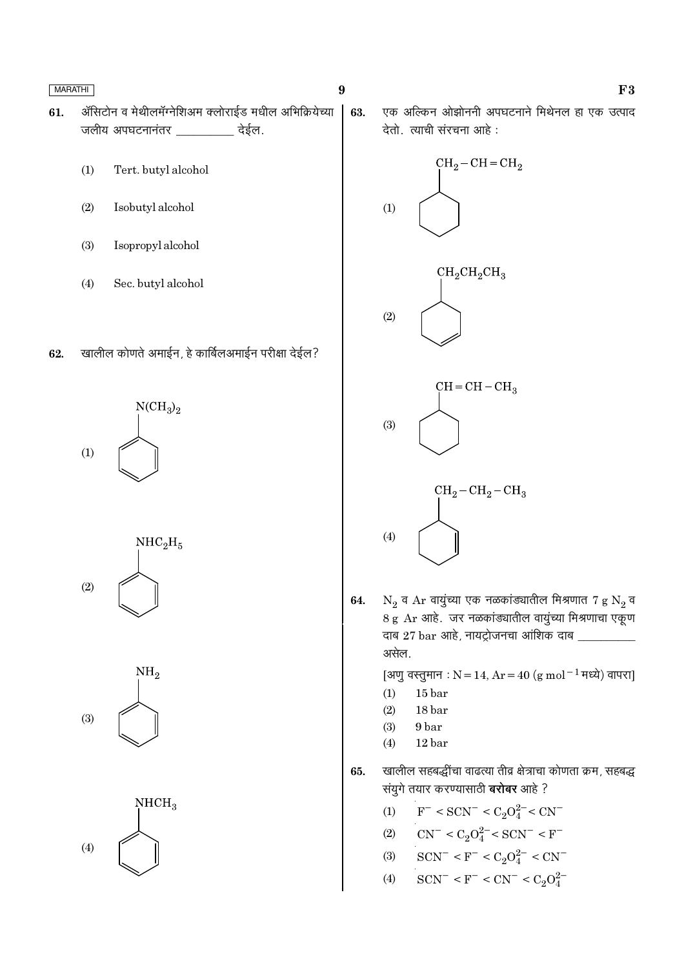- ॲसिटोन व मेथीलमॅग्नेशिअम क्लोराईड मधील अभिक्रियेच्या 61. जलीय अपघटनानंतर \_\_\_\_\_\_\_\_\_\_ देईल.
	- $(1)$ Tert. butyl alcohol
	- $(2)$ Isobutyl alcohol
	- Isopropyl alcohol  $(3)$
	- $(4)$ Sec. butyl alcohol
- खालील कोणते अमाईन, हे कार्बिलअमाईन परीक्षा देईल? 62.

 $NCH<sub>3</sub>$ <sub>2</sub>  $(1)$ 







एक अल्किन ओझोननी अपघटनाने मिथेनल हा एक उत्पाद 63. देतो. त्याची संरचना आहे:



 $N_2$  व Ar वायुंच्या एक नळकांड्यातील मिश्रणात 7 g  $N_2$  व 64. 8 g Ar आहे. जर नळकांड्यातील वायुंच्या मिश्रणाचा एकूण दाब 27 bar आहे, नायट्रोजनचा आंशिक दाब \_ असेल.

[अणु वस्तुमान : N = 14, Ar = 40 (g mol<sup>-1</sup> मध्ये) वापरा]

- $15<sub>bar</sub>$  $(1)$
- 18 bar  $(2)$
- 9 bar  $(3)$
- $(4)$ 12 bar
- खालील सहबद्धींचा वाढत्या तीव्र क्षेत्राचा कोणता क्रम, सहबद्ध 65. संयुगे तयार करण्यासाठी **बरोबर** आहे ?
	- $F^-$  < SCN<sup>-</sup> < C<sub>2</sub>O<sub>4</sub><sup>2-</sup> < CN<sup>-</sup>  $(1)$
	- (2)  $CN^- < C_2O_4^{2-} < SCN^- < F^-$
	- (3)  $SCN^- < F^- < C_2O_4^{2-} < CN^-$
	- $SCN^- < F^- < CN^- < C_2O_4^{2-}$  $(4)$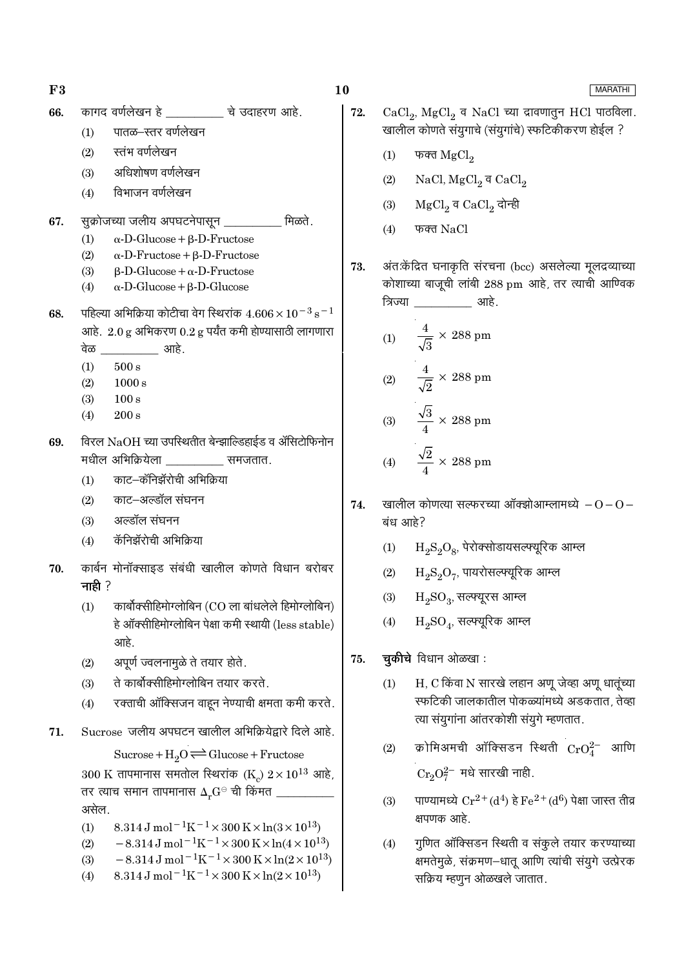#### कागद वर्णलेखन हे ब्रिटेंच के उदाहरण आहे. 66.

- पातळ–स्तर वर्णलेखन  $(1)$
- स्तंभ वर्णलेखन  $(2)$
- अधिशोषण वर्णलेखन  $(3)$
- विभाजन वर्णलेखन  $(4)$
- सूक्रोजच्या जलीय अपघटनेपासून \_\_ मिळते 67.
	- $(1)$  $\alpha$ -D-Glucose +  $\beta$ -D-Fructose
	- $\alpha$ -D-Fructose + B-D-Fructose  $(2)$
	- $\beta$ -D-Glucose +  $\alpha$ -D-Fructose  $(3)$
	- $\alpha$ -D-Glucose +  $\beta$ -D-Glucose  $(4)$
- पहिल्या अभिक्रिया कोटीचा वेग स्थिरांक  $4.606 \times 10^{-3}$  s<sup>-1</sup> 68. आहे.  $2.0 g$  अभिकरण  $0.2 g$  पर्यंत कमी होण्यासाठी लागणारा वेळ आहे.
	- $(1)$  $500 s$
	- $(2)$  $1000 s$
	- $(3)$  $100 s$
	- $200 s$  $(4)$
- विरल NaOH च्या उपस्थितीत बेन्झाल्डिहाईड व ॲसिटोफिनोन 69. मधील अभिक्रियेला वाला समजतात.
	- काट–कॅनिझॅरोची अभिक्रिया  $(1)$
	- $(2)$ काट–अल्डॉल संघनन
	- $(3)$ अल्डॉल संघनन
	- कॅनिझॅरोची अभिकिया  $(4)$
- कार्बन मोनॉक्साइड संबंधी खालील कोणते विधान बरोबर 70. नाही $?$ 
	- कार्बोक्सीहिमोग्लोबिन (CO ला बांधलेले हिमोग्लोबिन)  $(1)$ हे ऑक्सीहिमोग्लोबिन पेक्षा कमी स्थायी (less stable) आहे.
	- अपूर्ण ज्वलनामुळे ते तयार होते.  $(2)$
	- ते कार्बोक्सीहिमोग्लोबिन तयार करते.  $(3)$
	- रक्ताची ऑक्सिजन वाहून नेण्याची क्षमता कमी करते.  $(4)$
- Sucrose जलीय अपघटन खालील अभिक्रियेद्वारे दिले आहे. 71.

Sucrose +  $H_2O \rightleftharpoons Glucose + Fructose$ 300 K तापमानास समतोल स्थिरांक (K<sub>c</sub>)  $2 \times 10^{13}$  आहे, तर त्याच समान तापमानास  $\Delta_r {\rm G}^{\rm \odot}$  ची किंमत \_\_\_ असेल.

- 8.314 J mol<sup>-1</sup>K<sup>-1</sup> × 300 K × ln(3 × 10<sup>13</sup>)  $(1)$
- $-8.314 \,\mathrm{J}$  mol<sup>-1</sup>K<sup>-1</sup>×300 K×ln(4×10<sup>13</sup>)  $(2)$
- $-8.314 \,\mathrm{J}$  mol<sup>-1</sup>K<sup>-1</sup>×300 K×ln(2×10<sup>13</sup>)  $(3)$
- 8.314 J mol<sup>-1</sup>K<sup>-1</sup> × 300 K × ln(2 × 10<sup>13</sup>)  $(4)$
- 10
	- $CaCl<sub>2</sub>$ , MgCl<sub>2</sub> व NaCl च्या द्रावणातुन HCl पाठविला. 72. खालील कोणते संयुगाचे (संयुगांचे) स्फटिकीकरण होईल ?
		- $(1)$ फक्त  $MgCl<sub>2</sub>$
		- NaCl,  $MgCl<sub>2</sub>$ व CaCl<sub>2</sub>  $(2)$
		- MgCl<sub>2</sub> व CaCl<sub>2</sub> दोन्ही  $(3)$
		- $(4)$ फक्त NaCl

अंत:केंद्रित घनाकृति संरचना (bcc) असलेल्या मूलद्रव्याच्या 73. कोशाच्या बाजूची लांबी 288 pm आहे, तर त्याची आण्विक त्रिज्या आहे.

(1) 
$$
\frac{4}{\sqrt{3}} \times 288 \text{ pm}
$$
  
\n(2) 
$$
\frac{4}{\sqrt{2}} \times 288 \text{ pm}
$$
  
\n(3) 
$$
\frac{\sqrt{3}}{4} \times 288 \text{ pm}
$$
  
\n(4) 
$$
\frac{\sqrt{2}}{4} \times 288 \text{ pm}
$$

- खालील कोणत्या सत्फरच्या ऑक्झोआम्लामध्ये  $-0-0-$ 74. बंध आहे?
	- $H_2S_2O_8$ , पेरोक्सोडायसल्फ्यूरिक आम्ल  $(1)$
	- $H_2S_2O_7$ , पायरोसल्फ्यूरिक आम्ल  $(2)$
	- $H_2SO_3$ , सल्फ्यूरस आम्ल  $(3)$
	- $H_2SO_4$ , सत्फ्यूरिक आम्ल  $(4)$
- चुकीचे विधान ओळखा: 75.
	- H, C किंवा N सारखे लहान अणू जेव्हा अणू धातूंच्या  $(1)$ स्फटिकी जालकातील पोकळ्यांमध्ये अडकतात, तेव्हा त्या संयुगांना आंतरकोशी संयुगे म्हणतात.
	- क्रोमिअमची ऑक्सिडन स्थिती  $\mathrm{CrO}_4^{2-}$  आणि  $(2)$  $Cr_2O_7^{2-}$  मधे सारखी नाही.
	- पाण्यामध्ये  $Cr^{2+}(d^4)$  हे  $Fe^{2+}(d^6)$  पेक्षा जास्त तीव्र  $(3)$ क्षपणक आहे.
	- गुणित ऑक्सिडन स्थिती व संकूले तयार करण्याच्या  $(4)$ क्षमतेमुळे, संक्रमण–धातू आणि त्यांची संयुगे उत्प्रेरक सक्रिय म्हणुन ओळखले जातात.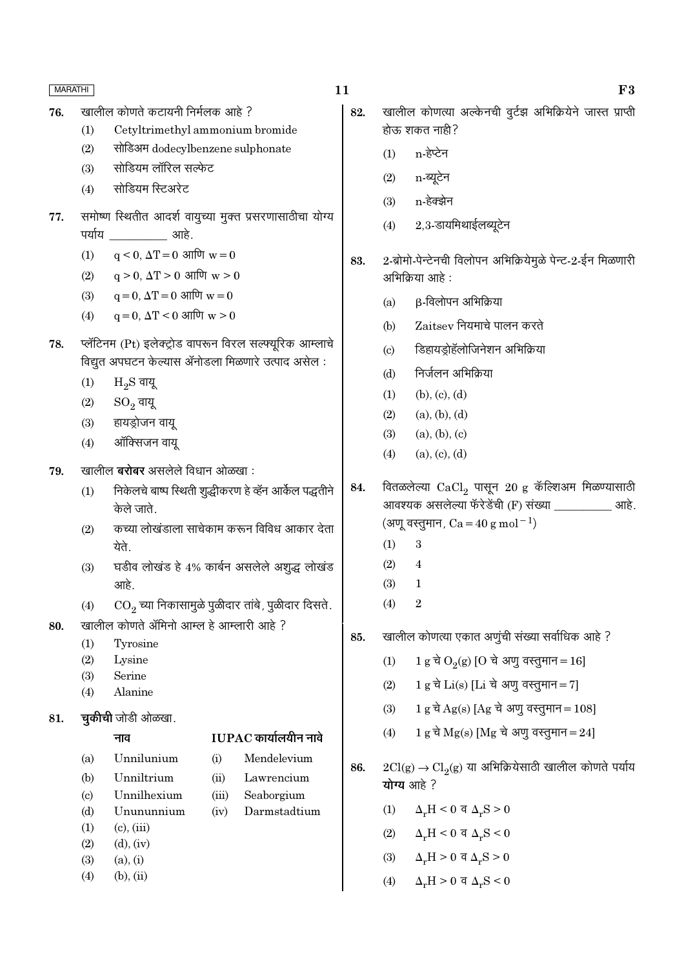| <b>MARATHI</b> |                             |                                                   |       |                                                                        | 11  |                            | F3                                                                                                               |
|----------------|-----------------------------|---------------------------------------------------|-------|------------------------------------------------------------------------|-----|----------------------------|------------------------------------------------------------------------------------------------------------------|
| 76.            |                             | खालील कोणते कटायनी निर्मलक आहे ?                  |       |                                                                        | 82. |                            | खालील कोणत्या अल्केनची वुर्टझ अभिक्रियेने जास्त प्राप्ती                                                         |
|                | (1)                         | Cetyltrimethyl ammonium bromide                   |       |                                                                        |     |                            | होऊ शकत नाही?                                                                                                    |
|                | (2)                         | सोडिअम dodecylbenzene sulphonate                  |       |                                                                        |     | (1)                        | n-हेप्टेन                                                                                                        |
|                | (3)                         | सोडियम लॉरिल सल्फेट                               |       |                                                                        |     | (2)                        | n-ब्यूटेन                                                                                                        |
|                | (4)                         | सोडियम स्टिअरेट                                   |       |                                                                        |     | (3)                        | n-हेक्झेन                                                                                                        |
| 77.            |                             | पर्याय ____________ आहे.                          |       | समोष्ण स्थितीत आदर्श वायुच्या मुक्त प्रसरणासाठीचा योग्य                |     | (4)                        | 2,3-डायमिथाईलब्यूटेन                                                                                             |
|                | (1)                         | $q < 0$ , $\Delta T = 0$ आणि $w = 0$              |       |                                                                        | 83. |                            | 2-ब्रोमो-पेन्टेनची विलोपन अभिक्रियेमुळे पेन्ट-2-ईन मिळणारी                                                       |
|                | (2)                         | $q > 0$ , $\Delta T > 0$ आणि $w > 0$              |       |                                                                        |     |                            | अभिक्रिया आहे :                                                                                                  |
|                | (3)                         | $q = 0$ , $\Delta T = 0$ आणि $w = 0$              |       |                                                                        |     | (a)                        | $\beta$ -विलोपन अभिक्रिया                                                                                        |
|                | (4)                         | $q = 0$ , $\Delta T < 0$ आणि $w > 0$              |       |                                                                        |     | (b)                        | $Z$ aitsev नियमाचे पालन करते                                                                                     |
| 78.            |                             |                                                   |       | प्लॅटिनम (Pt) इलेक्ट्रोड वापरून विरल सल्फ्यूरिक आम्लाचे                |     | $\left( \mathrm{c}\right)$ | डिहायड्रोहॅलोजिनेशन अभिक्रिया                                                                                    |
|                |                             | विद्युत अपघटन केल्यास ॲनोडला मिळणारे उत्पाद असेल: |       |                                                                        |     |                            |                                                                                                                  |
|                | (1)                         | $H_2S$ वायू                                       |       |                                                                        |     | (d)                        | निर्जलन अभिक्रिया                                                                                                |
|                | (2)                         | $\mathrm{SO}_2$ वायू                              |       |                                                                        |     | (1)                        | (b), (c), (d)                                                                                                    |
|                | (3)                         | हायड्रोजन वायू                                    |       |                                                                        |     | (2)                        | (a), (b), (d)                                                                                                    |
|                | (4)                         | ऑक्सिजन वायू                                      |       |                                                                        |     | (3)                        | (a), (b), (c)                                                                                                    |
| 79.            |                             | खालील <b>बरोबर</b> असलेले विधान ओळखा :            |       |                                                                        |     | (4)                        | (a), (c), (d)                                                                                                    |
|                | (1)                         | केले जाते.                                        |       | निकेलचे बाष्प स्थिती शुद्धीकरण हे व्हॅन आर्केल पद्धतीने                | 84. |                            | वितळलेल्या $\rm CaCl_2$ पासून 20 g कॅल्शिअम मिळण्यासाठी<br>आवश्यक असलेल्या फॅरेडेंची (F) संख्या ___________ आहे. |
|                | (2)                         |                                                   |       | कच्या लोखंडाला साचेकाम करून विविध आकार देता                            |     |                            | (अणू वस्तुमान, $Ca = 40 g mol^{-1}$ )                                                                            |
|                |                             | येते.                                             |       |                                                                        |     | (1)                        | 3                                                                                                                |
|                | (3)                         |                                                   |       | घडीव लोखंड हे 4% कार्बन असलेले अशुद्ध लोखंड                            |     | (2)                        | 4                                                                                                                |
|                |                             | आहे.                                              |       |                                                                        |     | (3)                        | 1                                                                                                                |
|                | (4)                         |                                                   |       | $\overline{\text{CO}_2}$ च्या निकासामुळे पुळीदार तांबे, पुळीदार दिसते. |     | (4)                        | $\boldsymbol{2}$                                                                                                 |
| 80.            |                             | खालील कोणते ॲमिनो आम्ल हे आम्लारी आहे ?           |       |                                                                        |     |                            | खालील कोणत्या एकात अणुंची संख्या सर्वाधिक आहे ?                                                                  |
|                | (1)                         | Tyrosine                                          |       |                                                                        | 85. |                            |                                                                                                                  |
|                | (2)<br>(3)                  | Lysine<br>Serine                                  |       |                                                                        |     | (1)                        | 1 g चे O <sub>2</sub> (g) [O चे अणु वस्तुमान = 16]                                                               |
|                | (4)                         | Alanine                                           |       |                                                                        |     | (2)                        | $1 g d$ $Li(s)$ [Li $d$ अणु वस्तुमान = 7]                                                                        |
| 81.            |                             | <b>चुकीची</b> जोडी ओळखा.                          |       |                                                                        |     | (3)                        | $1 g d \text{d} q$ (s) [Ag चे अणु वस्तुमान = 108]                                                                |
|                |                             | नाव                                               |       | $IUPAC$ कार्यालयीन नावे                                                |     | (4)                        | $1 g \overrightarrow{\sigma} Mg(s)$ [Mg चे अणु वस्तुमान = 24]                                                    |
|                | (a)                         | Unnilunium                                        | (i)   | Mendelevium                                                            |     |                            |                                                                                                                  |
|                | (b)                         | Unniltrium                                        | (ii)  | Lawrencium                                                             | 86. |                            | $2Cl(g) \rightarrow Cl_2(g)$ या अभिक्रियेसाठी खालील कोणते पर्याय<br>योग्य आहे?                                   |
|                | $\left( \mathrm{c} \right)$ | Unnilhexium                                       | (iii) | Seaborgium                                                             |     |                            |                                                                                                                  |
|                | (d)                         | Unununnium                                        | (iv)  | Darmstadtium                                                           |     | (1)                        | $\Delta_r H < 0$ व $\Delta_r S > 0$                                                                              |
|                | (1)<br>(2)                  | $(c)$ , $(iii)$<br>$(d)$ , $(iv)$                 |       |                                                                        |     | (2)                        | $\Delta_r H < 0$ व $\Delta_r S < 0$                                                                              |
|                | (3)                         | (a), (i)                                          |       |                                                                        |     | (3)                        | $\Delta_r H > 0$ व $\Delta_r S > 0$                                                                              |
|                | (4)                         | $(b)$ , $(ii)$                                    |       |                                                                        |     | (4)                        | $\Delta_r H > 0$ व $\Delta_r S < 0$                                                                              |
|                |                             |                                                   |       |                                                                        |     |                            |                                                                                                                  |

 $\bf{F3}$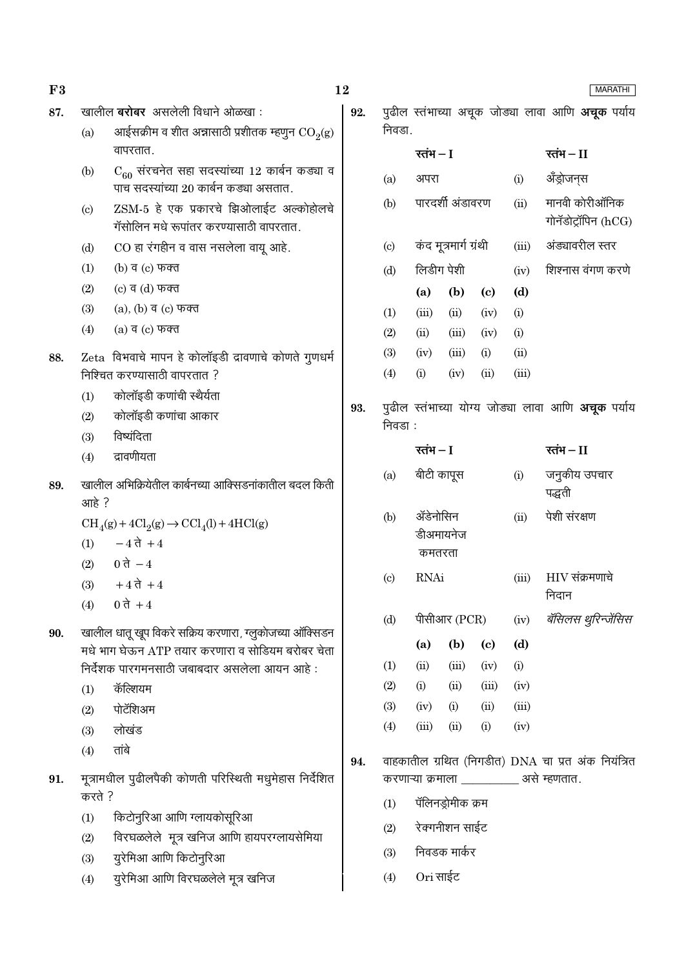| F3  |                                                       |                                                                                                              | 12  |                            |                                                           |                       |                             |       | <b>MARATHI</b>                                           |
|-----|-------------------------------------------------------|--------------------------------------------------------------------------------------------------------------|-----|----------------------------|-----------------------------------------------------------|-----------------------|-----------------------------|-------|----------------------------------------------------------|
| 87. |                                                       | खालील <b>बरोबर</b> असलेली विधाने ओळखा :                                                                      | 92. |                            |                                                           |                       |                             |       | पुढील स्तंभाच्या अचूक जोड्या लावा आणि <b>अचूक</b> पर्याय |
|     | (a)                                                   | आईसक्रीम व शीत अन्नासाठी प्रशीतक म्हणुन $\mathrm{CO}_2(\mathrm{g})$                                          |     | निवडा.                     |                                                           |                       |                             |       |                                                          |
|     |                                                       | वापरतात.                                                                                                     |     |                            | रतंभ $-I$                                                 |                       |                             |       | रतंभ – $II$                                              |
|     | (b)                                                   | $C_{60}$ संरचनेत सहा सदस्यांच्या 12 कार्बन कड्या व<br>पाच सदस्यांच्या 20 कार्बन कड्या असतात.                 |     | (a)                        | अपरा                                                      |                       |                             | (i)   | ॲंड्रोजन्स                                               |
|     | (c)                                                   | ZSM-5 हे एक प्रकारचे झिओलाईट अल्कोहोलचे<br>गॅसोलिन मधे रूपांतर करण्यासाठी वापरतात.                           |     | (b)                        |                                                           | पारदर्शी अंडावरण      |                             | (ii)  | मानवी कोरीऑनिक<br>गोनॅडोट्रॉपिन (hCG)                    |
|     | (d)                                                   | CO हा रंगहीन व वास नसलेला वायू आहे.                                                                          |     | (c)                        |                                                           | कंद मूत्रमार्ग ग्रंथी |                             | (iii) | अंड्यावरील स्तर                                          |
|     | (1)                                                   | (b) व (c) फक्त                                                                                               |     | (d)                        |                                                           | लिडीग पेशी            |                             | (iv)  | शिश्नास वंगण करणे                                        |
|     | (2)                                                   | $(c)$ व $(d)$ फक्त                                                                                           |     |                            | (a)                                                       | (b)                   | $\left( \mathbf{c} \right)$ | (d)   |                                                          |
|     | (3)                                                   | $(a)$ , $(b)$ व $(c)$ फक्त                                                                                   |     | (1)                        | (iii)                                                     | (ii)                  | (iv)                        | (i)   |                                                          |
|     | (4)                                                   | $(a)$ व $(c)$ फक्त                                                                                           |     | (2)                        | (ii)                                                      | (iii)                 | (iv)                        | (i)   |                                                          |
| 88. |                                                       | Zeta विभवाचे मापन हे कोलॉइडी द्रावणाचे कोणते गुणधर्म                                                         |     | (3)                        | (iv)                                                      | (iii)                 | (i)                         | (ii)  |                                                          |
|     |                                                       | निश्चित करण्यासाठी वापरतात ?                                                                                 |     | (4)                        | (i)                                                       | (iv)                  | (ii)                        | (iii) |                                                          |
|     | (1)                                                   | कोलॉइडी कणांची स्थैर्यता                                                                                     |     |                            |                                                           |                       |                             |       |                                                          |
|     | (2)                                                   | कोलॉइडी कणांचा आकार                                                                                          | 93. |                            | पुढील स्तंभाच्या योग्य जोड्या लावा आणि <b>अचूक</b> पर्याय |                       |                             |       |                                                          |
|     | (3)                                                   | विष्यंदिता                                                                                                   |     | निवडा:                     |                                                           |                       |                             |       |                                                          |
|     | (4)                                                   | द्रावणीयता                                                                                                   |     |                            | रतंभ $-I$                                                 |                       |                             |       | रतंभ – $II$                                              |
| 89. | खालील अभिक्रियेतील कार्बनच्या आक्सिडनांकातील बदल किती |                                                                                                              | (a) |                            | बीटी कापूस<br>(i)                                         |                       |                             |       | जनुकीय उपचार<br>पद्धती                                   |
|     |                                                       | आहे?                                                                                                         |     |                            | ॲडेनोसिन                                                  |                       |                             | (ii)  | पेशी संरक्षण                                             |
|     | (1)                                                   | $\text{CH}_4(g) + 4\text{Cl}_2(g) \rightarrow \text{CCl}_4(l) + 4\text{HCl}(g)$<br>$-4\overrightarrow{a}$ +4 |     |                            |                                                           | डीअमायनेज             |                             |       |                                                          |
|     | (2)                                                   | $0 \, \overrightarrow{d} - 4$                                                                                |     |                            | कमतरता                                                    |                       |                             |       |                                                          |
|     | (3)                                                   | $+4$ ते $+4$                                                                                                 |     | $\left( \mathrm{c}\right)$ | <b>RNAi</b>                                               |                       |                             | (iii) | $HIV$ संक्रमणाचे                                         |
|     | (4)                                                   | 0 ते + 4                                                                                                     |     |                            |                                                           |                       |                             |       | निदान                                                    |
|     |                                                       |                                                                                                              |     | (d)                        |                                                           | पीसीआर $(PCR)$        |                             | (iv)  | बॅसिलस थुरिन्जेंसिस                                      |
| 90. |                                                       | खालील धातू खूप विकरे सक्रिय करणारा, ग्लुकोजच्या ऑक्सिडन                                                      |     |                            | (a)                                                       | (b)                   | $\left( \mathbf{c} \right)$ | (d)   |                                                          |
|     |                                                       | मधे भाग घेऊन ATP तयार करणारा व सोडियम बरोबर चेता                                                             |     | (1)                        | (ii)                                                      | (iii)                 | (iv)                        | (i)   |                                                          |
|     |                                                       | निर्देशक पारगमनसाठी जबाबदार असलेला आयन आहे:                                                                  |     | (2)                        | (i)                                                       | (ii)                  | (iii)                       | (iv)  |                                                          |
|     | (1)                                                   | कॅल्शियम                                                                                                     |     | (3)                        | (iv)                                                      | (i)                   | (ii)                        | (iii) |                                                          |
|     | (2)                                                   | पोटॅशिअम                                                                                                     |     | (4)                        | (iii)                                                     | (ii)                  | (i)                         | (iv)  |                                                          |
|     | (3)                                                   | लोखंड<br>तांबे                                                                                               |     |                            |                                                           |                       |                             |       |                                                          |
|     | (4)                                                   |                                                                                                              | 94. |                            |                                                           |                       |                             |       | वाहकातील ग्रथित (निगडीत) DNA चा प्रत अंक नियंत्रित       |
| 91. |                                                       | मूत्रामधील पुढीलपैकी कोणती परिस्थिती मधुमेहास निर्देशित                                                      |     |                            |                                                           |                       |                             |       | करणाऱ्या क्रमाला ___________ असे म्हणतात.                |
|     | करते ?                                                |                                                                                                              |     | (1)                        |                                                           | पॅलिनड्रोमीक क्रम     |                             |       |                                                          |
|     | (1)                                                   | किटोनुरिआ आणि ग्लायकोसूरिआ                                                                                   |     | (2)                        |                                                           | रेक्गनीशन साईट        |                             |       |                                                          |
|     | (2)                                                   | विरघळलेले मूत्र खनिज आणि हायपरग्लायसेमिया                                                                    |     |                            |                                                           |                       |                             |       |                                                          |
|     | (3)                                                   | युरेमिआ आणि किटोनुरिआ                                                                                        |     | (3)                        |                                                           | निवडक मार्कर          |                             |       |                                                          |
|     | (4)                                                   | युरेमिआ आणि विरघळलेले मूत्र खनिज                                                                             |     | (4)                        | Ori साईट                                                  |                       |                             |       |                                                          |
|     |                                                       |                                                                                                              |     |                            |                                                           |                       |                             |       |                                                          |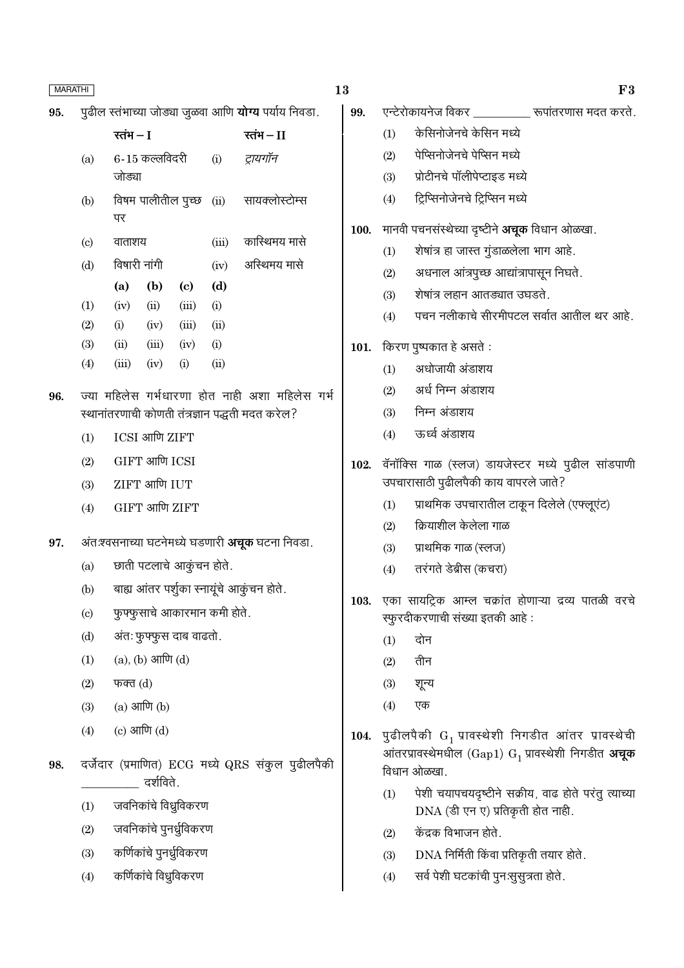| 95. |                            | पुढील स्तंभाच्या जोड्या जुळवा आणि <b>योग्य</b> पर्याय निवडा. |                        |                              |       |                                                                                                   |
|-----|----------------------------|--------------------------------------------------------------|------------------------|------------------------------|-------|---------------------------------------------------------------------------------------------------|
|     |                            | रतंभ $-I$                                                    |                        |                              |       | रतंभ $-I$                                                                                         |
|     | (a)                        | जोड्या                                                       | $6 - 15$ कल्लविदरी     |                              | (i)   | ट्रायगॉन                                                                                          |
|     | (b)                        | पर                                                           | विषम पालीतील पुच्छ     |                              |       | (ii) सायक्लोस्टोम्स                                                                               |
|     | $\left( \mathrm{c}\right)$ | वाताशय                                                       |                        |                              | (iii) | कास्थिमय मासे                                                                                     |
|     | (d)                        | विषारी नांगी                                                 |                        |                              | (iv)  | अस्थिमय मासे                                                                                      |
|     |                            | (a)                                                          | (b)                    | (c)                          | (d)   |                                                                                                   |
|     | (1)                        | (iv)                                                         | (ii)                   | (iii)                        | (i)   |                                                                                                   |
|     | (2)                        | (i)                                                          | (iv)                   | (iii)                        | (ii)  |                                                                                                   |
|     | (3)                        | (ii)                                                         | (iii)                  | (iv)                         | (i)   |                                                                                                   |
|     | (4)                        | (iii)                                                        | (iv)                   | (i)                          | (ii)  |                                                                                                   |
| 96. |                            |                                                              |                        |                              |       | ज्या महिलेस गर्भधारणा होत नाही अशा महिलेस गर्भ<br>स्थानांतरणाची कोणती तंत्रज्ञान पद्धती मदत करेल? |
|     | (1)                        |                                                              | ICSI आणि ZIFT          |                              |       |                                                                                                   |
|     | (2)                        |                                                              | GIFT आणि ICSI          |                              |       |                                                                                                   |
|     | (3)                        |                                                              | ZIFT आणि IUT           |                              |       |                                                                                                   |
|     | (4)                        |                                                              | GIFT आणि ZIFT          |                              |       |                                                                                                   |
| 97. |                            |                                                              |                        |                              |       | अंतःश्वसनाच्या घटनेमध्ये घडणारी <b>अचूक</b> घटना निवडा.                                           |
|     | (a)                        |                                                              |                        | छाती पटलाचे आकुंचन होते.     |       |                                                                                                   |
|     | (b)                        |                                                              |                        |                              |       | बाह्य आंतर पर्शुका स्नायूंचे आकुंचन होते.                                                         |
|     | $\left( c\right)$          |                                                              |                        | फुफ्फुसाचे आकारमान कमी होते. |       |                                                                                                   |
|     | (d)                        |                                                              |                        | अंतः फुफ्फुस दाब वाढतो.      |       |                                                                                                   |
|     | (1)                        |                                                              | $(a), (b)$ आणि $(d)$   |                              |       |                                                                                                   |
|     | (2)                        | फक्त $(d)$                                                   |                        |                              |       |                                                                                                   |
|     | (3)                        | $(a)$ आणि $(b)$                                              |                        |                              |       |                                                                                                   |
|     | (4)                        | $(c)$ आणि $(d)$                                              |                        |                              |       |                                                                                                   |
| 98. |                            |                                                              | दर्शविते.              |                              |       | दर्जेदार (प्रमाणित) ECG मध्ये QRS संकुल पुढीलपैकी                                                 |
|     | (1)                        |                                                              |                        | जवनिकांचे विध्रुविकरण        |       |                                                                                                   |
|     | (2)                        |                                                              |                        | जवनिकांचे पुनर्ध्रुविकरण     |       |                                                                                                   |
|     | (3)                        |                                                              |                        | कर्णिकांचे पुनर्ध्रुविकरण    |       |                                                                                                   |
|     | (4)                        |                                                              | कर्णिकांचे विध्रुविकरण |                              |       |                                                                                                   |

 $\overline{\bf 13}$ 

| 3    |     | F3                                                                                          |
|------|-----|---------------------------------------------------------------------------------------------|
| 99.  |     | एन्टेरोकायनेज विकर __________ रूपांतरणास मदत करते.                                          |
|      | (1) | केसिनोजेनचे केसिन मध्ये                                                                     |
|      | (2) | पेप्सिनोजेनचे पेप्सिन मध्ये                                                                 |
|      | (3) | प्रोटीनचे पॉलीपेप्टाइड मध्ये                                                                |
|      | (4) | ट्रिप्सिनोजेनचे ट्रिप्सिन मध्ये                                                             |
| 100. |     | मानवी पचनसंस्थेच्या दृष्टीने अचूक विधान ओळखा.                                               |
|      | (1) | शेषांत्र हा जास्त गुंडाळलेला भाग आहे.                                                       |
|      | (2) | अधनाल आंत्रपुच्छ आद्यांत्रापासून निघते.                                                     |
|      | (3) | शेषांत्र लहान आतड्यात उघडते.                                                                |
|      | (4) | पचन नलीकाचे सीरमीपटल सर्वात आतील थर आहे.                                                    |
| 101. |     | किरण पुष्पकात हे असते :                                                                     |
|      | (1) | अधोजायी अंडाशय                                                                              |
|      | (2) | अर्ध निम्न अंडाशय                                                                           |
|      | (3) | निम्न अंडाशय                                                                                |
|      | (4) | ऊर्ध्व अंडाशय                                                                               |
| 102. |     | वॅनॉक्सि गाळ (स्लज) डायजेस्टर मध्ये पुढील सांडपाणी<br>उपचारासाठी पुढीलपैकी काय वापरले जाते? |
|      | (1) | प्राथमिक उपचारातील टाकून दिलेले (एफ्लूएंट)                                                  |
|      | (2) | क्रियाशील केलेला गाळ                                                                        |
|      | (3) | प्राथमिक गाळ (स्लज)                                                                         |
|      | (4) | तरंगते डेब्रीस (कचरा)                                                                       |
| 103. |     | एका सायट्रिक आम्ल चक्रांत होणाऱ्या द्रव्य पातळी वरचे<br>स्फुरदीकरणाची संख्या इतकी आहे :     |
|      | (1) | दोन                                                                                         |
|      | (2) | तीन                                                                                         |
|      | (3) | शून्य                                                                                       |
|      | (4) | एक                                                                                          |
| 104. |     | पुढीलपैकी $G_1$ प्रावस्थेशी निगडीत आंतर प्रावस्थेची                                         |
|      |     | आंतरप्रावस्थेमधील (Gap1) G <sub>1</sub> प्रावस्थेशी निगडीत अचूक<br>विधान ओळखा.              |
|      | (1) | पेशी चयापचयदृष्टीने सक्रीय, वाढ होते परंतु त्याच्या<br>DNA (डी एन ए) प्रतिकृती होत नाही.    |
|      | (2) | केंद्रक विभाजन होते.                                                                        |
|      | (3) | DNA निर्मिती किंवा प्रतिकृती तयार होते.                                                     |
|      | (4) | सर्व पेशी घटकांची पुनःसुसुत्रता होते.                                                       |
|      |     |                                                                                             |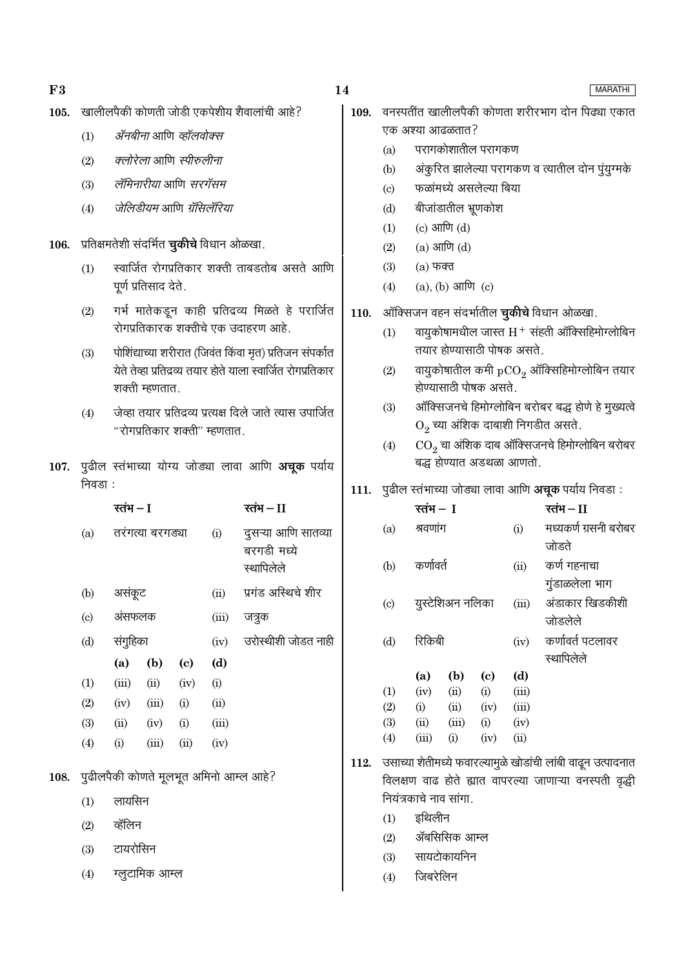108.

#### खालीलपैकी कोणती जोडी एकपेशीय शैवालांची आहे? 105.

- ॲनबीना आणि व्हॉलवोक्स  $(1)$
- $(2)$ क्लोरेला आणि स्पीरुलीना
- लॅमिनारीया आणि सरगॅसम  $(3)$
- जेलिडीयम आणि ग्रॅसिलॅरिया  $(4)$

106. प्रतिक्षमतेशी संदर्भित **चुकीचे** विधान ओळखा.

- स्वार्जित रोगप्रतिकार शक्ती ताबडतोब असते आणि  $(1)$ पूर्ण प्रतिसाद देते.
- गर्भ मातेकडून काही प्रतिद्रव्य मिळते हे परार्जित  $(2)$ रोगप्रतिकारक शक्तीचे एक उदाहरण आहे.
- पोशिंद्याच्या शरीरात (जिवंत किंवा मृत) प्रतिजन संपर्कात  $(3)$ येते तेव्हा प्रतिद्रव्य तयार होते याला स्वार्जित रोगप्रतिकार शक्ती म्हणतात.
- जेव्हा तयार प्रतिद्रव्य प्रत्यक्ष दिले जाते त्यास उपार्जित  $(4)$ "रोगप्रतिकार शक्ती" म्हणतात.
- 107. पुढील स्तंभाच्या योग्य जोड्या लावा आणि अचूक पर्याय निवडा :

|                                        | रतंभ — I         |                |                            |       | रतंभ – II                                        |  |  |  |  |
|----------------------------------------|------------------|----------------|----------------------------|-------|--------------------------------------------------|--|--|--|--|
| (a)                                    | तरंगत्या बरगड्या |                |                            | (i)   | दुसऱ्या आणि सातव्या<br>बरगडी मध्ये<br>स्थापिलेले |  |  |  |  |
| (b)                                    | असंकूट           |                |                            | (ii)  | प्रगंड अस्थिचे शीर                               |  |  |  |  |
| $\left( \mathrm{c} \right)$            | अंसफलक           |                |                            | (iii) | जत्रुक                                           |  |  |  |  |
| (d)                                    | संगुहिका         |                |                            | (iv)  | उरोस्थीशी जोडत नाही                              |  |  |  |  |
|                                        | (a)              | (b)            | $\left( \mathrm{c}\right)$ | (d)   |                                                  |  |  |  |  |
| (1)                                    | (iii)            | (ii)           | (iv)                       | (i)   |                                                  |  |  |  |  |
| (2)                                    | (iv)             | (iii)          | (i)                        | (ii)  |                                                  |  |  |  |  |
| (3)                                    | (ii)             | (iv)           | (i)                        | (iii) |                                                  |  |  |  |  |
| (4)                                    | (i)              | (iii)          | (ii)                       | (iv)  |                                                  |  |  |  |  |
| पुढीलपैकी कोणते मूलभूत अमिनो आम्ल आहे? |                  |                |                            |       |                                                  |  |  |  |  |
| (1)                                    | लायसिन           |                |                            |       |                                                  |  |  |  |  |
| (2)                                    | व्हॅलिन          |                |                            |       |                                                  |  |  |  |  |
| (3)                                    | टायरोसिन         |                |                            |       |                                                  |  |  |  |  |
| (4)                                    |                  | ग्लूटामिक आम्ल |                            |       |                                                  |  |  |  |  |

- 109. वनस्पतींत खालीलपैकी कोणता शरीरभाग दोन पिढ्या एकात एक अश्या आढळतात?
	- परागकोशातील परागकण  $(a)$
	- अंकुरित झालेल्या परागकण व त्यातील दोन पुंयुग्मके  $(b)$
	- फळांमध्ये असलेल्या बिया  $(c)$
	- बीजांडातील भ्रूणकोश  $(d)$
	- $(c)$  आणि  $(d)$  $(1)$
	- $(a)$  आणि  $(d)$  $(2)$
	- $(3)$  $(a)$  फक्त
	- $(a)$ ,  $(b)$  आणि  $(c)$  $(4)$
- ऑक्सिजन वहन संदर्भातील **चुकीचे** विधान ओळखा. 110.
	- वायुकोषामधील जास्त  $H^+$  संहती ऑक्सिहिमोग्लोबिन  $(1)$ तयार होण्यासाठी पोषक असते.
	- वायुकोषातील कमी  $pCO<sub>2</sub>$  ऑक्सिहिमोग्लोबिन तयार  $(2)$ होण्यासाठी पोषक असते.
	- ऑक्सिजनचे हिमोग्लोबिन बरोबर बद्ध होणे हे मुख्यत्वे  $(3)$  $O_2$  च्या अंशिक दाबाशी निगडीत असते.
	- $\mathrm{CO}_2$  चा अंशिक दाब ऑक्सिजनचे हिमोग्लोबिन बरोबर  $(4)$ बद्ध होण्यात अडथळा आणतो.
- 111. पुढील स्तंभाच्या जोड्या लावा आणि अचूक पर्याय निवडा:

|                            | रतंभ – I                                                     |                  |                            |            | रतंभ – II                                                                                                                                                                                                                                                                                                                                                                                                                                                                                      |  |  |  |  |
|----------------------------|--------------------------------------------------------------|------------------|----------------------------|------------|------------------------------------------------------------------------------------------------------------------------------------------------------------------------------------------------------------------------------------------------------------------------------------------------------------------------------------------------------------------------------------------------------------------------------------------------------------------------------------------------|--|--|--|--|
| (a)                        | श्रवणांग                                                     |                  |                            | (i)        | मध्यकर्ण ग्रसनी बरोबर                                                                                                                                                                                                                                                                                                                                                                                                                                                                          |  |  |  |  |
|                            |                                                              |                  |                            |            | जोडते                                                                                                                                                                                                                                                                                                                                                                                                                                                                                          |  |  |  |  |
| (b)                        | कर्णावर्त                                                    |                  |                            | (ii)       | कर्ण गहनाचा                                                                                                                                                                                                                                                                                                                                                                                                                                                                                    |  |  |  |  |
|                            |                                                              |                  |                            |            | गुंडाळलेला भाग                                                                                                                                                                                                                                                                                                                                                                                                                                                                                 |  |  |  |  |
| $\left( \mathrm{c}\right)$ |                                                              | युस्टेशिअन नलिका |                            | (iii)      | अंडाकार खिडकीशी                                                                                                                                                                                                                                                                                                                                                                                                                                                                                |  |  |  |  |
|                            |                                                              |                  |                            |            | जोडलेले                                                                                                                                                                                                                                                                                                                                                                                                                                                                                        |  |  |  |  |
| (d)                        | रिकिबी                                                       |                  |                            | (iv)       | कर्णावर्त पटलावर                                                                                                                                                                                                                                                                                                                                                                                                                                                                               |  |  |  |  |
|                            |                                                              |                  |                            |            | स्थापिलेले                                                                                                                                                                                                                                                                                                                                                                                                                                                                                     |  |  |  |  |
|                            | (a)                                                          | (b)              | $\left( \mathrm{e}\right)$ | (d)        |                                                                                                                                                                                                                                                                                                                                                                                                                                                                                                |  |  |  |  |
| (1)                        | (iv)                                                         | (ii)             | (i)                        | (iii)      |                                                                                                                                                                                                                                                                                                                                                                                                                                                                                                |  |  |  |  |
| (2)                        | (i)                                                          | (ii)             | (iv)                       | (iii)      |                                                                                                                                                                                                                                                                                                                                                                                                                                                                                                |  |  |  |  |
| (3)                        | (ii)                                                         | (iii)            | (i)                        | (iv)       |                                                                                                                                                                                                                                                                                                                                                                                                                                                                                                |  |  |  |  |
| (4)                        | (iii)                                                        | (i)              | (iv)                       | $\rm (ii)$ |                                                                                                                                                                                                                                                                                                                                                                                                                                                                                                |  |  |  |  |
|                            | उसाच्या शेतीमध्ये फवारल्यामुळे खोडांची लांबी वाढून उत्पादनात |                  |                            |            |                                                                                                                                                                                                                                                                                                                                                                                                                                                                                                |  |  |  |  |
|                            |                                                              |                  |                            |            | $\overline{a}$ $\overline{a}$<br>$\triangle$ - $\triangle$ - $\triangle$ - $\triangle$ - $\triangle$ - $\triangle$ - $\triangle$ - $\triangle$ - $\triangle$ - $\triangle$ - $\triangle$ - $\triangle$ - $\triangle$ - $\triangle$ - $\triangle$ - $\triangle$ - $\triangle$ - $\triangle$ - $\triangle$ - $\triangle$ - $\triangle$ - $\triangle$ - $\triangle$ - $\triangle$ - $\triangle$ - $\triangle$ - $\triangle$ - $\triangle$ - $\triangle$ - $\triangle$ - $\triangle$ - $\triangle$ |  |  |  |  |

- 112. विलक्षण वाढ होते ह्यात वापरल्या जाणाऱ्या वनस्पती वृद्धी नियंत्रकाचे नाव सांगा.
	- इथिलीन  $(1)$
	- ॲबसिसिक आम्ल  $(2)$
	- सायटोकायनिन  $(3)$
	- जिबरेलिन  $(4)$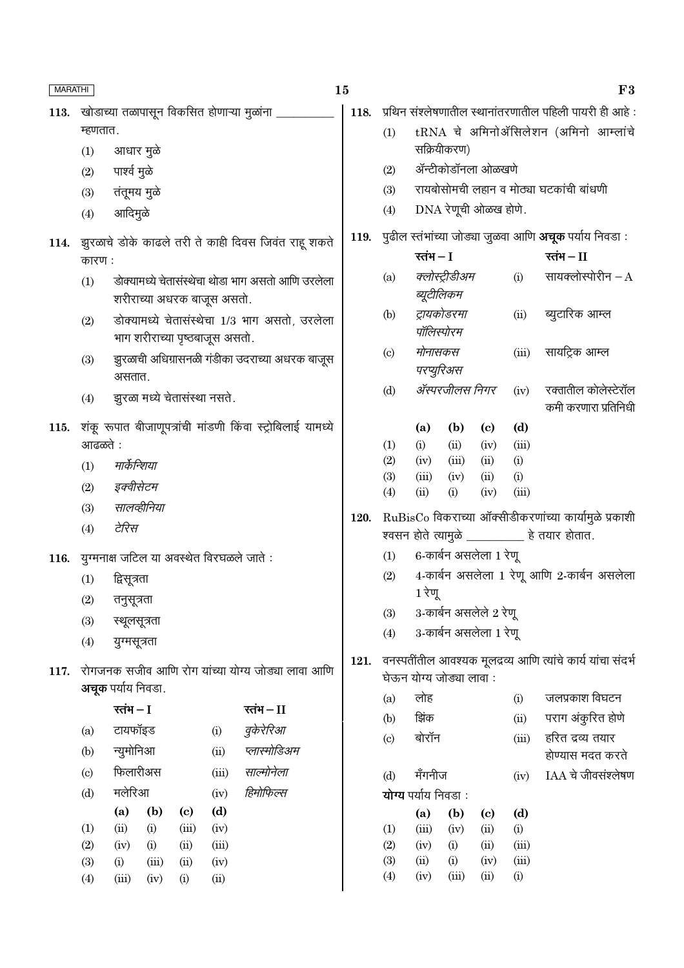| MARATHI |                                                                                        |              |             |                                      |                                |                                                                 | 15   |                                                        |                                      |                      |                                    |                     | F3                                                            |
|---------|----------------------------------------------------------------------------------------|--------------|-------------|--------------------------------------|--------------------------------|-----------------------------------------------------------------|------|--------------------------------------------------------|--------------------------------------|----------------------|------------------------------------|---------------------|---------------------------------------------------------------|
|         |                                                                                        |              |             |                                      |                                | 113. खोडाच्या तळापासून विकसित होणाऱ्या मुळांना                  | 118. | प्रथिन संश्लेषणातील स्थानांतरणातील पहिली पायरी ही आहे: |                                      |                      |                                    |                     |                                                               |
|         | म्हणतात.                                                                               |              |             |                                      |                                |                                                                 |      | (1)                                                    | tRNA चे अमिनोॲसिलेशन (अमिनो आम्लांचे |                      |                                    |                     |                                                               |
|         | (1)                                                                                    | आधार मुळे    |             |                                      |                                |                                                                 |      |                                                        |                                      | सक्रियीकरण)          |                                    |                     |                                                               |
|         | (2)                                                                                    | पार्श्व मुळे |             |                                      |                                |                                                                 |      | (2)                                                    |                                      | ॲन्टीकोडॉनला ओळखणे   |                                    |                     |                                                               |
|         | (3)                                                                                    | तंतूमय मुळे  |             |                                      |                                |                                                                 |      | (3)                                                    |                                      |                      |                                    |                     | रायबोसोमची लहान व मोठ्या घटकांची बांधणी                       |
|         | (4)                                                                                    | आदिमुळे      |             |                                      |                                |                                                                 |      | (4)                                                    |                                      | DNA रेणूची ओळख होणे. |                                    |                     |                                                               |
|         |                                                                                        |              |             |                                      |                                | 114. झुरळाचे डोके काढले तरी ते काही दिवस जिवंत राहू शकते        | 119. |                                                        |                                      |                      |                                    |                     | पुढील स्तंभांच्या जोड्या जुळवा आणि <b>अचूक</b> पर्याय निवडा : |
|         | कारण:                                                                                  |              |             |                                      |                                |                                                                 |      |                                                        | रतंभ $-I$                            |                      |                                    |                     | रतंभ $-II$                                                    |
|         | डोक्यामध्ये चेतासंस्थेचा थोडा भाग असतो आणि उरलेला<br>(1)<br>शरीराच्या अधरक बाजूस असतो. |              |             |                                      |                                |                                                                 | (a)  | ब्यूटीलिकम                                             | क्लोस्ट्रीडीअम                       |                      | (i)                                | सायक्लोस्पोरीन $-A$ |                                                               |
|         | (2)                                                                                    |              |             |                                      | भाग शरीराच्या पृष्ठबाजूस असतो. | डोक्यामध्ये चेतासंस्थेचा 1/3 भाग असतो, उरलेला                   |      | (b)                                                    | पॉलिस्पोरम                           | ट्रायकोडरमा          |                                    | (ii)                | ब्युटारिक आम्ल                                                |
|         | (3)                                                                                    | असतात.       |             |                                      |                                | झुरळाची अधिग्रासनळी गंडीका उदराच्या अधरक बाजूस                  |      | $\left( \circ \right)$                                 | मोनासकस<br>परप्युरिअस                |                      |                                    | (iii)               | सायट्रिक आम्ल                                                 |
|         | (4)                                                                                    |              |             | झुरळा मध्ये चेतासंस्था नसते.         |                                |                                                                 |      | (d)                                                    | ॲस्परजीलस निगर                       |                      |                                    | (iv)                | रक्तातील कोलेस्टेरॉल<br>कमी करणारा प्रतिनिधी                  |
|         |                                                                                        |              |             |                                      |                                | 115. शंकू रूपात बीजाणूपत्रांची मांडणी किंवा स्ट्रोबिलाई यामध्ये |      |                                                        | (a)                                  | (b)                  | $\left( \mathbf{c} \right)$        | (d)                 |                                                               |
|         | आढळते :                                                                                |              |             |                                      |                                |                                                                 |      | (1)                                                    | (i)                                  | (ii)                 | (iv)                               | (iii)               |                                                               |
|         | (1)                                                                                    | मार्केन्शिया |             |                                      |                                |                                                                 |      | (2)<br>(3)                                             | (iv)<br>(iii)                        | (iii)<br>(iv)        | (ii)<br>(ii)                       | (i)<br>(i)          |                                                               |
|         | (2)                                                                                    | इक्वीसेटम    |             |                                      |                                |                                                                 |      | (4)                                                    | (ii)                                 | (i)                  | (iv)                               | (iii)               |                                                               |
|         | (3)                                                                                    |              | सालव्हीनिया |                                      |                                |                                                                 | 120. | RuBisCo विकराच्या ऑक्सीडीकरणांच्या कार्यामुळे प्रकाशी  |                                      |                      |                                    |                     |                                                               |
|         | (4)                                                                                    | टेरिस        |             |                                      |                                |                                                                 |      |                                                        |                                      |                      |                                    |                     | श्वसन होते त्यामुळे __________ हे तयार होतात.                 |
| 116.    |                                                                                        |              |             |                                      |                                | युग्मनाक्ष जटिल या अवस्थेत विरघळले जाते :                       |      | 6-कार्बन असलेला 1 रेणू<br>(1)                          |                                      |                      |                                    |                     |                                                               |
|         | (1)                                                                                    | द्विसूत्रता  |             |                                      |                                |                                                                 |      | 4-कार्बन असलेला 1 रेणू आणि 2-कार्बन असलेला<br>(2)      |                                      |                      |                                    |                     |                                                               |
|         | (2)                                                                                    | तनुसूत्रता   |             |                                      |                                |                                                                 |      | 1 रेणू                                                 |                                      |                      |                                    |                     |                                                               |
|         | (3)                                                                                    | स्थूलसूत्रता |             |                                      |                                |                                                                 |      | (3)                                                    | 3-कार्बन असलेले 2 रेणू               |                      |                                    |                     |                                                               |
|         | (4)<br>युग्मसूत्रता                                                                    |              |             |                                      |                                |                                                                 | (4)  |                                                        | 3-कार्बन असलेला 1 रेणू               |                      |                                    |                     |                                                               |
| 117.    | रोगजनक सजीव आणि रोग यांच्या योग्य जोड्या लावा आणि<br><b>अचूक</b> पर्याय निवडा.         |              |             |                                      |                                |                                                                 | 121. |                                                        | घेऊन योग्य जोड्या लावा:              |                      |                                    |                     | वनस्पतींतील आवश्यक मूलद्रव्य आणि त्यांचे कार्य यांचा संदर्भ   |
|         |                                                                                        | रतंभ $-I$    |             |                                      |                                | रतंभ $-I$                                                       |      | (a)                                                    | लोह                                  |                      |                                    | (i)                 | जलप्रकाश विघटन                                                |
|         |                                                                                        |              |             |                                      |                                |                                                                 |      | (b)                                                    | झिंक                                 |                      |                                    | (ii)                | पराग अंकुरित होणे                                             |
|         | (a)                                                                                    | टायफॉइड      |             |                                      | (i)                            | वुकेरेरिआ                                                       |      | (c)                                                    | बोरॉन                                |                      |                                    | (iii)               | हरित द्रव्य तयार                                              |
|         | (b)                                                                                    | न्युमोनिआ    |             |                                      | (ii)                           | प्लास्मोडिअम                                                    |      |                                                        |                                      |                      |                                    |                     | होण्यास मदत करते                                              |
|         | (c)                                                                                    | फिलारीअस     |             |                                      | (iii)                          | साल्मोनेला                                                      |      | (d)                                                    | मँगनीज                               |                      |                                    | (iv)                | IAA चे जीवसंश्लेषण                                            |
|         | (d)                                                                                    | मलेरिआ       |             |                                      | (iv)                           | हिमोफिल्स                                                       |      |                                                        | योग्य पर्याय निवडा:                  |                      |                                    |                     |                                                               |
|         | (1)                                                                                    | (a)<br>(ii)  | (b)<br>(i)  | $\left( \mathbf{c} \right)$<br>(iii) | (d)<br>(iv)                    |                                                                 |      | (1)                                                    | (a)<br>(iii)                         | (b)<br>(iv)          | $\left( \mathrm{c}\right)$<br>(ii) | (d)<br>(i)          |                                                               |
|         | (2)                                                                                    | (iv)         | (i)         | (ii)                                 | (iii)                          |                                                                 |      | (2)                                                    | (iv)                                 | (i)                  | (ii)                               | (iii)               |                                                               |
|         | (3)                                                                                    | (i)          | (iii)       | (ii)                                 | (iv)                           |                                                                 |      | (3)                                                    | (ii)                                 | (i)                  | (iv)                               | (iii)               |                                                               |
|         | (4)                                                                                    | (iii)        | (iv)        | (i)                                  | (ii)                           |                                                                 |      | (4)                                                    | (iv)                                 | (iii)                | (ii)                               | (i)                 |                                                               |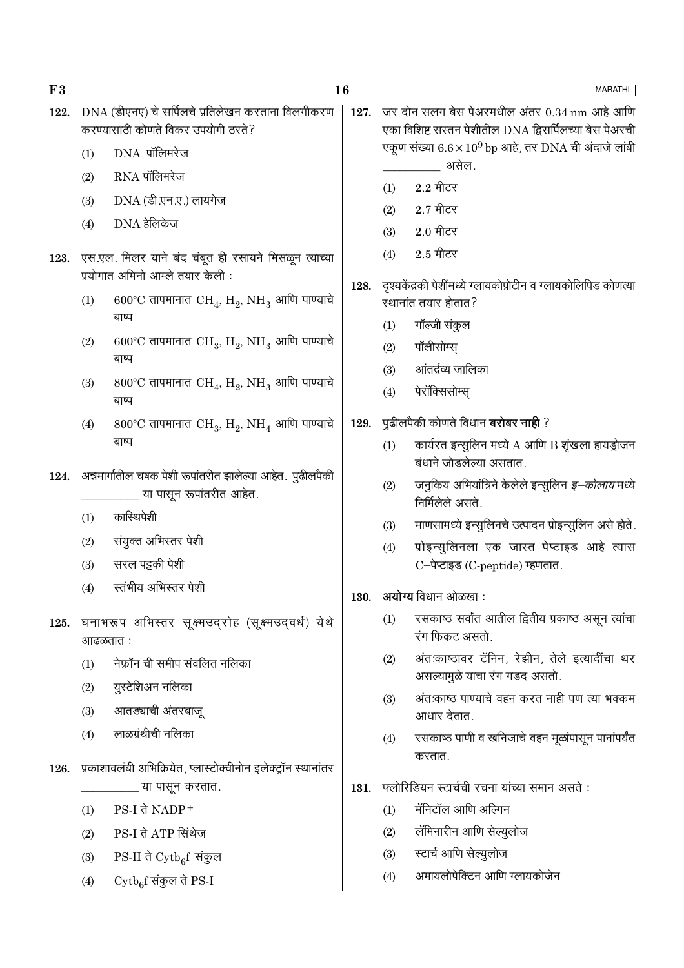| 122. | DNA (डीएनए) चे सर्पिलचे प्रतिलेखन करताना विलगीकरण<br>करण्यासाठी कोणते विकर उपयोगी ठरते?         | 127. |                                               | जर दोन सलग बेस पेअरमधील अंतर 0.34 nm आहे आणि<br>एका विशिष्ट सस्तन पेशीतील DNA द्विसर्पिलच्या बेस पेअरची |  |  |  |
|------|-------------------------------------------------------------------------------------------------|------|-----------------------------------------------|---------------------------------------------------------------------------------------------------------|--|--|--|
|      | DNA पॉलिमरेज                                                                                    |      |                                               | एकूण संख्या $6.6 \times 10^9$ bp आहे, तर DNA ची अंदाजे लांबी                                            |  |  |  |
|      | (1)                                                                                             |      |                                               | असेल.                                                                                                   |  |  |  |
|      | RNA पॉलिमरेज<br>(2)                                                                             |      | (1)                                           | $2.2$ मीटर                                                                                              |  |  |  |
|      | DNA (डी.एन.ए.) लायगेज<br>(3)                                                                    |      | (2)                                           | $2.7$ मीटर                                                                                              |  |  |  |
|      | DNA हेलिकेज<br>(4)                                                                              |      | (3)                                           | $2.0$ मीटर                                                                                              |  |  |  |
|      | 123. एस.एल. मिलर याने बंद चंबूत ही रसायने मिसळून त्याच्या<br>प्रयोगात अमिनो आम्ले तयार केली :   |      | (4)                                           | $2.5$ मीटर                                                                                              |  |  |  |
|      |                                                                                                 | 128. |                                               | दृश्यकेंद्रकी पेशींमध्ये ग्लायकोप्रोटीन व ग्लायकोलिपिड कोणत्या                                          |  |  |  |
|      | $600^{\circ}$ C तापमानात $\rm CH_{4}$ , $\rm H_{2}$ , $\rm NH_{3}$ आणि पाण्याचे<br>(1)<br>बाष्प |      | स्थानांत तयार होतात?                          |                                                                                                         |  |  |  |
|      |                                                                                                 |      | (1)                                           | गॉल्जी संकुल                                                                                            |  |  |  |
|      | 600°C तापमानात $CH_3$ , $H_2$ , NH <sub>3</sub> आणि पाण्याचे<br>(2)<br>बाष्प                    |      | (2)                                           | पॉलीसोम्स्                                                                                              |  |  |  |
|      | 800°C तापमानात $CH_4$ , $H_2$ , $NH_3$ आणि पाण्याचे<br>(3)                                      |      | (3)                                           | आंतर्द्रव्य जालिका                                                                                      |  |  |  |
|      | बाष्प                                                                                           |      | (4)                                           | पेरॉक्सिसोम्स्                                                                                          |  |  |  |
|      | 800°C तापमानात $CH_3$ , $H_2$ , NH <sub>4</sub> आणि पाण्याचे<br>(4)                             | 129. |                                               | पुढीलपैकी कोणते विधान <b>बरोबर नाही</b> ?                                                               |  |  |  |
|      | बाष्प                                                                                           |      | (1)                                           | कार्यरत इन्सुलिन मध्ये A आणि B शृंखला हायड्रोजन<br>बंधाने जोडलेल्या असतात.                              |  |  |  |
|      | 124. अन्नमार्गातील चषक पेशी रूपांतरीत झालेल्या आहेत. पुढीलपैकी<br>या पासून रूपांतरीत आहेत.      |      | (2)                                           | जनुकिय अभियांत्रिने केलेले इन्सुलिन <i>इ–कोलाय</i> मध्ये<br>निर्मिलेले असते.                            |  |  |  |
|      | कास्थिपेशी<br>(1)                                                                               |      | (3)                                           | माणसामध्ये इन्सुलिनचे उत्पादन प्रोइन्सुलिन असे होते.                                                    |  |  |  |
|      | संयुक्त अभिस्तर पेशी<br>(2)                                                                     |      | (4)                                           | प्रोइन्सुलिनला एक जास्त पेप्टाइड आहे त्यास                                                              |  |  |  |
|      | सरल पड़की पेशी<br>(3)                                                                           |      |                                               | C-पेप्टाइड (C-peptide) म्हणतात.                                                                         |  |  |  |
|      | स्तंभीय अभिस्तर पेशी<br>(4)                                                                     |      |                                               | 130. अयोग्य विधान ओळखा:                                                                                 |  |  |  |
|      | 125. घनाभरूप अभिस्तर सूक्ष्मउद्रोह (सूक्ष्मउद्वर्ध) येथे<br>आढळतात :                            |      |                                               | (1) रसकाष्ठ सर्वांत आतील द्वितीय प्रकाष्ठ असून त्यांचा<br>रंग फिकट असतो.                                |  |  |  |
|      | नेफ्रॉन ची समीप संवलित नलिका<br>(1)                                                             |      | (2)                                           | अंतःकाष्ठावर टॅनिन, रेझीन, तेले इत्यादींचा थर                                                           |  |  |  |
|      | युस्टेशिअन नलिका<br>(2)                                                                         |      |                                               | असल्यामुळे याचा रंग गडद असतो.                                                                           |  |  |  |
|      | आतड्याची अंतरबाजू<br>(3)                                                                        |      | (3)                                           | अंत:काष्ठ पाण्याचे वहन करत नाही पण त्या भक्कम<br>आधार देतात.                                            |  |  |  |
|      | लाळग्रंथीची नलिका<br>(4)                                                                        |      | (4)                                           | रसकाष्ठ पाणी व खनिजाचे वहन मूळांपासून पानांपर्यंत<br>करतात.                                             |  |  |  |
| 126. | प्रकाशावलंबी अभिक्रियेत, प्लास्टोक्वीनोन इलेक्ट्रॉन स्थानांतर                                   |      |                                               |                                                                                                         |  |  |  |
|      | या पासून करतात.                                                                                 | 131. | फ्लोरिडियन स्टार्चची रचना यांच्या समान असते : |                                                                                                         |  |  |  |
|      | $PS-I$ ते $NADP+$<br>(1)                                                                        |      | (1)                                           | मॅनिटॉल आणि अल्गिन                                                                                      |  |  |  |
|      | PS-I ते ATP सिंथेज<br>(2)                                                                       |      | (2)                                           | लॅमिनारीन आणि सेल्युलोज                                                                                 |  |  |  |
|      | PS-II ते $\mathrm{Cytb}_6$ िसंकुल<br>(3)                                                        |      | (3)                                           | स्टार्च आणि सेल्युलोज                                                                                   |  |  |  |

 $16\phantom{.}$ 

 $\mathrm{PS}\text{-}\mathrm{II}$  ते  $\mathrm{Cytb}_6\mathrm{f}$  संकुल  $(3)$ 

 $\bf{F3}$ 

 $\mathrm{Cytb}_6\mathrm{f}$  संकुल ते PS-I  $(4)$ 

अमायलोपेक्टिन आणि ग्लायकोजेन

 $(4)$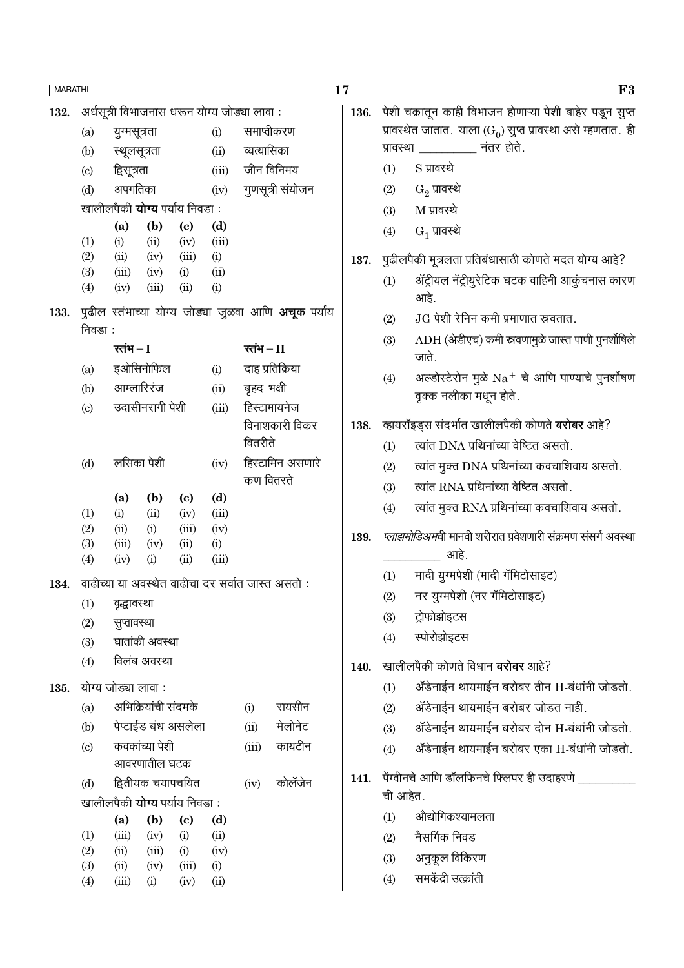| <b>MARATHI</b> |                             |                                             |                            |                            |               |                |                                                            |  |
|----------------|-----------------------------|---------------------------------------------|----------------------------|----------------------------|---------------|----------------|------------------------------------------------------------|--|
| 132.           |                             | अर्धसूत्री विभाजनास धरून योग्य जोड्या लावा: |                            |                            |               |                |                                                            |  |
|                | (a)                         | युग्मसूत्रता                                |                            | समाप्तीकरण                 |               |                |                                                            |  |
|                | (b)                         | स्थूलसूत्रता                                |                            |                            | (ii)          | व्यत्यासिका    |                                                            |  |
|                | $\left( \mathrm{c} \right)$ | द्विसूत्रता                                 |                            |                            | (iii)         |                | जीन विनिमय                                                 |  |
|                | (d)                         | अपगतिका                                     |                            |                            | (iv)          |                | गुणसूत्री संयोजन                                           |  |
|                |                             | खालीलपैकी <b>योग्य</b> पर्याय निवडा:        |                            |                            |               |                |                                                            |  |
|                |                             | (a)                                         | $\left( \mathbf{b}\right)$ | $\left( \mathrm{e}\right)$ | (d)           |                |                                                            |  |
|                | (1)                         | (i)                                         | (ii)                       | (iv)                       | (iii)         |                |                                                            |  |
|                | (2)                         | (ii)                                        | (iv)                       | (iii)                      | (i)           |                |                                                            |  |
|                | (3)<br>(4)                  | (iii)<br>(iv)                               | (iv)<br>(iii)              | (i)<br>(ii)                | (ii)<br>(i)   |                |                                                            |  |
|                |                             |                                             |                            |                            |               |                |                                                            |  |
| 133.           | निवडा :                     |                                             |                            |                            |               |                | पुढील स्तंभाच्या योग्य जोड्या जुळवा आणि <b>अचूक</b> पर्याय |  |
|                |                             | रतंभ $-I$                                   |                            |                            |               | रतंभ $-I$      |                                                            |  |
|                | (a)                         |                                             | इओसिनोफिल                  |                            | (i)           |                | दाह प्रतिक्रिया                                            |  |
|                | (b)                         |                                             | आम्लारिरंज                 |                            | (ii)          | बृहद भक्षी     |                                                            |  |
|                | $\left( \mathrm{c}\right)$  |                                             | उदासीनरागी पेशी            |                            | (iii)         | हिस्टामायनेज   |                                                            |  |
|                |                             |                                             |                            |                            |               | विनाशकारी विकर |                                                            |  |
|                |                             |                                             |                            |                            |               | वितरीते        |                                                            |  |
|                | (d)                         |                                             | लसिका पेशी                 |                            | (iv)          |                | हिस्टामिन असणारे                                           |  |
|                |                             |                                             |                            |                            |               | कण वितरते      |                                                            |  |
|                |                             | (a)                                         | (b)                        | (c)                        | (d)           |                |                                                            |  |
|                | (1)<br>(2)                  | (i)<br>(ii)                                 | (ii)<br>(i)                | (iv)<br>(iii)              | (iii)<br>(iv) |                |                                                            |  |
|                | (3)                         |                                             | $(iii)$ $(iv)$             | (ii)                       | (i)           |                |                                                            |  |
|                | (4)                         | (iv)                                        | (i)                        | (ii)                       | (iii)         |                |                                                            |  |
| 134.           |                             |                                             |                            |                            |               |                | वाढीच्या या अवस्थेत वाढीचा दर सर्वात जास्त असतो :          |  |
|                | (1)                         | वृद्धावस्था                                 |                            |                            |               |                |                                                            |  |
|                | (2)                         | सुप्तावस्था                                 |                            |                            |               |                |                                                            |  |
|                | (3)                         |                                             | घातांकी अवस्था             |                            |               |                |                                                            |  |
|                | (4)                         |                                             | विलंब अवस्था               |                            |               |                |                                                            |  |
| 135.           |                             | योग्य जोड्या लावा:                          |                            |                            |               |                |                                                            |  |
|                | (a)                         |                                             | अभिक्रियांची संदमके        |                            |               | (i)            | रायसीन                                                     |  |
|                | (b)                         |                                             |                            | पेप्टाईड बंध असलेला        |               | (ii)           | मेलोनेट                                                    |  |
|                | $\left( c\right)$           |                                             | कवकांच्या पेशी             |                            |               | (iii)          | कायटीन                                                     |  |
|                |                             |                                             | आवरणातील घटक               |                            |               |                |                                                            |  |
|                | (d)                         |                                             | द्वितीयक चयापचयित          |                            |               | (iv)           | कोलॅंजेन                                                   |  |
|                |                             | खालीलपैकी <b>योग्य</b> पर्याय निवडा :       |                            |                            |               |                |                                                            |  |
|                |                             | (a)                                         | (b)                        | $\left( \mathrm{c}\right)$ | (d)           |                |                                                            |  |
|                | (1)                         | (iii)                                       | (iv)                       | (i)                        | (ii)          |                |                                                            |  |
|                | (2)                         | (ii)                                        | (iii)                      | (i)                        | (iv)          |                |                                                            |  |
|                | (3)                         | (ii)                                        | (iv)                       | (iii)                      | (i)           |                |                                                            |  |

 $(4)$ 

 $(iii)$ 

 $(i)$ 

 $(ii)$ 

 $(iv)$ 

17

136. पेशी चक्रातून काही विभाजन होणाऱ्या पेशी बाहेर पडून सुप्त प्रावस्थेत जातात. याला (G<sub>0</sub>) सुप्त प्रावस्था असे म्हणतात. ही नंतर होते. प्रावस्था

- $(1)$ S प्रावस्थे
- $(2)$  $\mathrm{G}_2$  प्रावस्थे
- $M$  प्रावस्थे  $(3)$
- $G_1$  प्रावस्थे  $(4)$
- 137. पुढीलपैकी मूत्रलता प्रतिबंधासाठी कोणते मदत योग्य आहे?
	- ॲट्रीयल नॅट्रीयुरेटिक घटक वाहिनी आकुंचनास कारण  $(1)$ आहे
	- $JG$  पेशी रेनिन कमी प्रमाणात स्रवतात.  $(2)$
	- ADH (अेडीएच) कमी स्रवणामुळे जास्त पाणी पुनर्शोषिले  $(3)$ जाते.
	- अल्डोस्टेरोन मुळे  $Na$ + चे आणि पाण्याचे पुनर्शोषण  $(4)$ वृक्क नलीका मधून होते.
- व्हायरॉइड्स संदर्भात खालीलपैकी कोणते **बरोबर** आहे? 138.
	- त्यांत DNA प्रथिनांच्या वेष्टित असतो.  $(1)$
	- त्यांत मुक्त DNA प्रथिनांच्या कवचाशिवाय असतो.  $(2)$
	- त्यांत RNA प्रथिनांच्या वेष्टित असतो.  $(3)$
	- त्यांत मुक्त RNA प्रथिनांच्या कवचाशिवाय असतो.  $(4)$
- प्लाझमोडिअमची मानवी शरीरात प्रवेशणारी संक्रमण संसर्ग अवस्था 139. आहे.
	- मादी युग्मपेशी (मादी गॅमिटोसाइट)  $(1)$
	- नर युग्मपेशी (नर गॅमिटोसाइट)  $(2)$
	- ट्रोफोझोइटस  $(3)$
	- स्पोरोझोइटस  $(4)$
- खालीलपैकी कोणते विधान **बरोबर** आहे? 140.
	- ॲडेनाईन थायमाईन बरोबर तीन H-बंधांनी जोडतो.  $(1)$
	- ॲडेनाईन थायमाईन बरोबर जोडत नाही.  $(2)$
	- ॲडेनाईन थायमाईन बरोबर दोन H-बंधांनी जोडतो.  $(3)$
	- ॲडेनाईन थायमाईन बरोबर एका H-बंधांनी जोडतो.  $(4)$
- 141. पेंग्वीनचे आणि डॉलफिनचे फ्लिपर ही उदाहरणे ची आहेत.
	- औद्योगिकश्यामलता  $(1)$
	- नैसर्गिक निवड  $(2)$
	- अनुकूल विकिरण  $(3)$
	- समकेंद्री उत्क्रांती  $(4)$

F<sub>3</sub>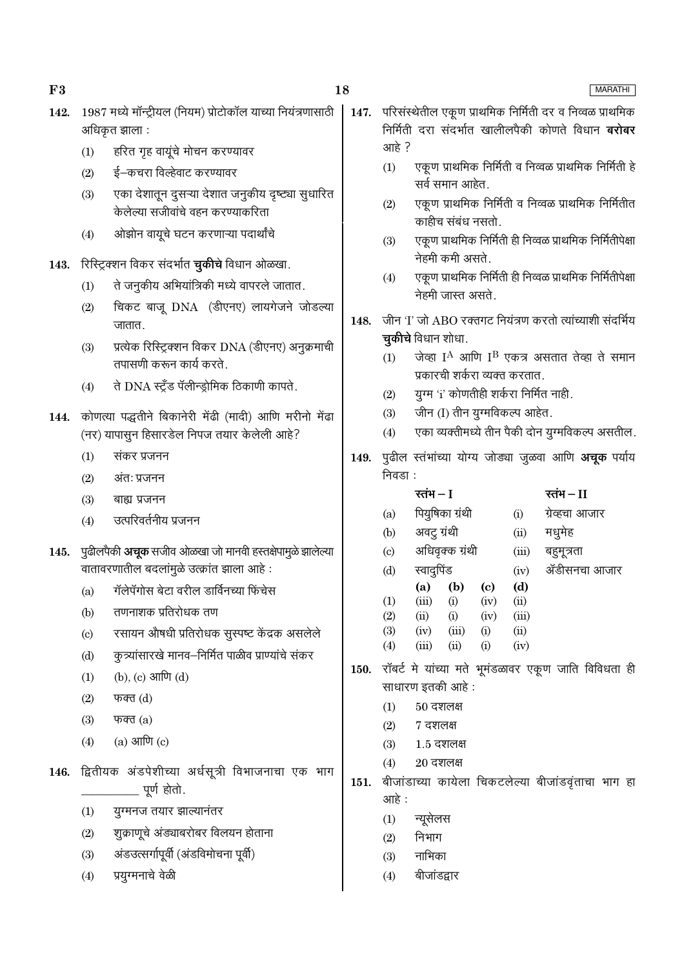### 18

- 1987 मध्ये मॉन्ट्रीयल (नियम) प्रोटोकॉल याच्या नियंत्रणासाठी 142. अधिकृत झाला :
	- हरित गृह वायूंचे मोचन करण्यावर  $(1)$
	- $(2)$ ई–कचरा विल्हेवाट करण्यावर
	- एका देशातून दुसऱ्या देशात जनुकीय दृष्ट्या सुधारित  $(3)$ केलेल्या सजीवांचे वहन करण्याकरिता
	- ओझोन वायुचे घटन करणाऱ्या पदार्थांचे  $(4)$

143. रिस्ट्रिक्शन विकर संदर्भात **चुकीचे** विधान ओळखा.

- ते जनुकीय अभियांत्रिकी मध्ये वापरले जातात.  $(1)$
- $(2)$ चिकट बाजू DNA (डीएनए) लायगेजने जोडल्या जातात.
- प्रत्येक रिस्ट्रिक्शन विकर DNA (डीएनए) अनुक्रमाची  $(3)$ तपासणी करून कार्य करते
- ते DNA स्टूँड पॅलीन्डोमिक ठिकाणी कापते.  $(4)$
- 144. कोणत्या पद्धतीने बिकानेरी मेंढी (मादी) आणि मरीनो मेंढा (नर) यापासून हिसारडेल निपज तयार केलेली आहे?
	- $(1)$ संकर प्रजनन
	- $(2)$ अंत: प्रजनन
	- $(3)$ बाह्य प्रजनन
	- $(4)$ उत्परिवर्तनीय प्रजनन
- पुढीलपैकी **अचूक** सजीव ओळखा जो मानवी हस्तक्षेपामुळे झालेल्या 145. वातावरणातील बदलांमुळे उत्क्रांत झाला आहे:
	- गॅलेपॅगोस बेटा वरील डार्विनच्या फिंचेस  $(a)$
	- तणनाशक प्रतिरोधक तण  $(b)$
	- रसायन औषधी प्रतिरोधक सुस्पष्ट केंद्रक असलेले  $(c)$
	- कुत्र्यांसारखे मानव–निर्मित पाळीव प्राण्यांचे संकर  $(d)$
	- (b), (c) आणि (d)  $(1)$
	- $(2)$ फक्त $(d)$
	- फक्त $(a)$  $(3)$
	- $(a)$  आणि  $(c)$  $(4)$
- 146. द्वितीयक अंडपेशीच्या अर्धसूत्री विभाजनाचा एक भाग \_ पूर्ण होतो.
	- यग्मनज तयार झाल्यानंतर  $(1)$
	- शूक्राणूचे अंड्याबरोबर विलयन होताना  $(2)$
	- अंडउत्सर्गापूर्वी (अंडविमोचना पूर्वी)  $(3)$
	- प्रयुग्मनाचे वेळी  $(4)$
- 147. परिसंस्थेतील एकूण प्राथमिक निर्मिती दर व निव्वळ प्राथमिक निर्मिती दरा संदर्भात खालीलपैकी कोणते विधान **बरोबर** आहे ?
	- एकूण प्राथमिक निर्मिती व निव्वळ प्राथमिक निर्मिती हे  $(1)$ सर्व समान आहेत
	- एकूण प्राथमिक निर्मिती व निव्वळ प्राथमिक निर्मितीत  $(2)$ काहीच संबंध नसतो.
	- एकूण प्राथमिक निर्मिती ही निव्वळ प्राथमिक निर्मितीपेक्षा  $(3)$ नेहमी कमी असते.
	- एकूण प्राथमिक निर्मिती ही निव्वळ प्राथमिक निर्मितीपेक्षा  $(4)$ नेहमी जास्त असते.
- जीन 'I' जो ABO रक्तगट नियंत्रण करतो त्यांच्याशी संदर्भिय 148. **चुकीचे** विधान शोधा.
	- जेव्हा  $I^A$  आणि  $I^B$  एकत्र असतात तेव्हा ते समान  $(1)$ प्रकारची शर्करा व्यक्त करतात.
	- युग्म 'i' कोणतीही शर्करा निर्मित नाही.  $(2)$
	- जीन (I) तीन यूग्मविकल्प आहेत.  $(3)$
	- एका व्यक्तीमध्ये तीन पैकी दोन युग्मविकल्प असतील.  $(4)$
- 149. पुढील स्तंभांच्या योग्य जोड्या जुळवा आणि अचूक पर्याय निवडा :

|                           | रतंभ — I     |                 |          |       | रतंभ – II      |
|---------------------------|--------------|-----------------|----------|-------|----------------|
| (a)                       |              | पियुषिका ग्रंथी |          | (i)   | ग्रेव्हचा आजार |
| (b)                       | अवट्र ग्रंथी |                 |          | (ii)  | मधुमेह         |
| $\left( \text{c} \right)$ |              | अधिवृक्क ग्रंथी |          | (iii) | बहुमूत्रता     |
| (d)                       | स्वादुपिंड   |                 |          | (iv)  | ॲडीसनचा आजार   |
|                           | (a)          | (b)             | (c)      | (d)   |                |
| (1)                       | (iii)        | (i)             | (iv)     | (ii)  |                |
| (2)                       | (ii)         | (i)             | (iv)     | (iii) |                |
| (3)                       | (iv)         | (iii)           | (i)      | (ii)  |                |
| (4)                       | (iii)        | (ii)            | $\rm(i)$ | (iv)  |                |

- 150. रॉबर्ट मे यांच्या मते भूमंडळावर एकूण जाति विविधता ही साधारण इतकी आहे :
	- $(1)$  $50$  दशलक्ष
	- $(2)$ 7 दशलक्ष
	- $(3)$  $1.5$  दशलक्ष
	- $20$  दशलक्ष  $(4)$
- 151. बीजांडाच्या कायेला चिकटलेल्या बीजांडवृंताचा भाग हा आहे:
	- न्यूसेलस  $(1)$
	- निभाग  $(2)$
	- नाभिका  $(3)$
	- बीजांडद्वार  $(4)$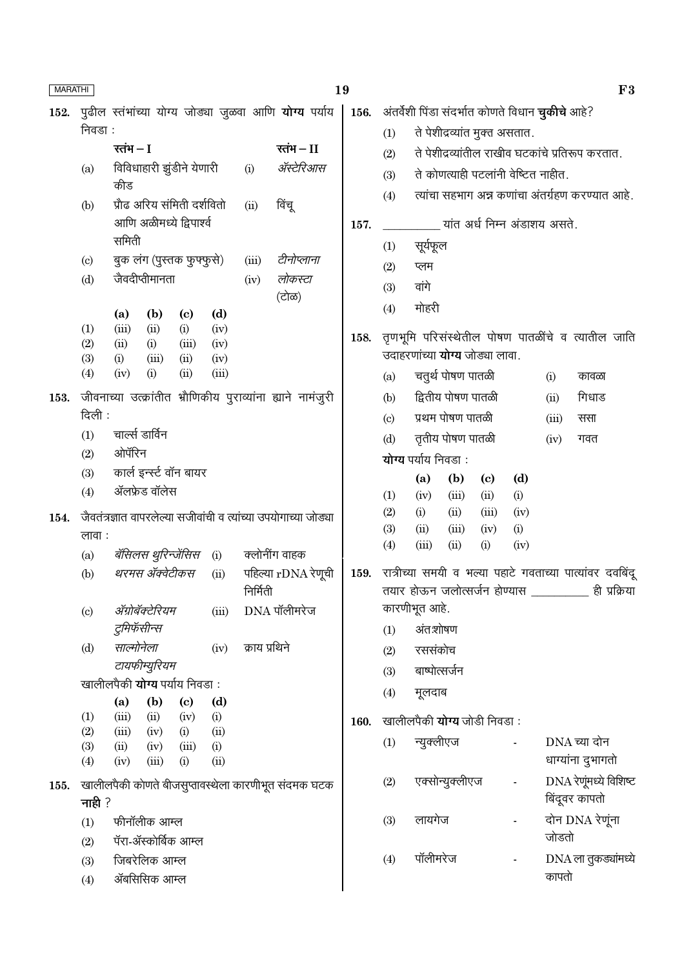| <b>MARATHI</b> |                             |              |                                                  |                            |              |               |                                                                 | 19   |            |                     |                    |                                                         |                          |       |                                                          | F3 |
|----------------|-----------------------------|--------------|--------------------------------------------------|----------------------------|--------------|---------------|-----------------------------------------------------------------|------|------------|---------------------|--------------------|---------------------------------------------------------|--------------------------|-------|----------------------------------------------------------|----|
| 152.           |                             |              |                                                  |                            |              |               | पुढील स्तंभांच्या योग्य जोड्या जुळवा आणि <b>योग्य</b> पर्याय    | 156. |            |                     |                    | अंतर्वेशी पिंडा संदर्भात कोणते विधान <b>चुकीचे</b> आहे? |                          |       |                                                          |    |
|                | निवडा:                      |              |                                                  |                            |              |               |                                                                 |      | (1)        |                     |                    | ते पेशीद्रव्यांत मुक्त असतात.                           |                          |       |                                                          |    |
|                |                             | रतंभ $-I$    |                                                  |                            |              |               | रतंभ $-I$                                                       |      | (2)        |                     |                    |                                                         |                          |       | ते पेशीद्रव्यांतील राखीव घटकांचे प्रतिरूप करतात.         |    |
|                | (a)                         |              | विविधाहारी झुंडीने येणारी                        |                            |              | (i)           | ॲस्टेरिआस                                                       |      | (3)        |                     |                    | ते कोणत्याही पटलांनी वेष्टित नाहीत.                     |                          |       |                                                          |    |
|                | (b)                         | कीड          | प्रौढ अरिय संमिती दर्शवितो                       |                            |              | (ii)          | विंचू                                                           |      | (4)        |                     |                    |                                                         |                          |       | त्यांचा सहभाग अन्न कणांचा अंतर्ग्रहण करण्यात आहे.        |    |
|                |                             |              | आणि अळीमध्ये द्विपार्श्व                         |                            |              |               |                                                                 | 157. |            |                     |                    | यांत अर्ध निम्न अंडाशय असते.                            |                          |       |                                                          |    |
|                |                             | समिती        |                                                  |                            |              |               |                                                                 |      | (1)        | सूर्यफूल            |                    |                                                         |                          |       |                                                          |    |
|                | $\left( \mathrm{c} \right)$ |              | बुक लंग (पुस्तक फुफ्फुसे)                        |                            |              | (iii)         | टीनोप्लाना                                                      |      | (2)        | प्लम                |                    |                                                         |                          |       |                                                          |    |
|                | (d)                         |              | जैवदीप्तीमानता                                   |                            |              | (iv)          | लोकस्टा                                                         |      | (3)        | वांगे               |                    |                                                         |                          |       |                                                          |    |
|                |                             | (a)          | (b)                                              | $\left( \mathrm{c}\right)$ | (d)          |               | (टोळ)                                                           |      | (4)        | मोहरी               |                    |                                                         |                          |       |                                                          |    |
|                | (1)                         | (iii)        | (ii)                                             | (i)                        | (iv)         |               |                                                                 | 158. |            |                     |                    |                                                         |                          |       | तृणभूमि परिसंस्थेतील पोषण पातळींचे व त्यातील जाति        |    |
|                | (2)<br>(3)                  | (ii)<br>(i)  | (i)<br>(iii)                                     | (iii)<br>(ii)              | (iv)<br>(iv) |               |                                                                 |      |            |                     |                    | उदाहरणांच्या <b>योग्य</b> जोड्या लावा.                  |                          |       |                                                          |    |
|                | (4)                         | (iv)         | (i)                                              | (ii)                       | (iii)        |               |                                                                 |      | (a)        |                     | चतुर्थ पोषण पातळी  |                                                         |                          | (i)   | कावळा                                                    |    |
| 153.           |                             |              |                                                  |                            |              |               | जीवनाच्या उत्क्रांतीत भ्रौणिकीय पुराव्यांना ह्याने नामंजुरी     |      | (b)        |                     | द्वितीय पोषण पातळी |                                                         |                          | (ii)  | गिधाड                                                    |    |
|                | दिली :                      |              |                                                  |                            |              |               |                                                                 |      | (c)        |                     | प्रथम पोषण पातळी   |                                                         |                          | (iii) | ससा                                                      |    |
|                | (1)                         |              | चार्ल्स डार्विन                                  |                            |              |               |                                                                 |      | (d)        |                     | तृतीय पोषण पातळी   |                                                         |                          | (iv)  | गवत                                                      |    |
|                | (2)                         | ओपॅरिन       |                                                  |                            |              |               |                                                                 |      |            | योग्य पर्याय निवडा: |                    |                                                         |                          |       |                                                          |    |
|                | (3)                         |              | कार्ल इन्स्ट वॉन बायर                            |                            |              |               |                                                                 |      |            | (a)                 | (b)                | $\left( \mathrm{c}\right)$                              | (d)                      |       |                                                          |    |
|                | (4)                         |              | ॲलफ्रेड वॉलेस                                    |                            |              |               |                                                                 |      | (1)        | (iv)                | (iii)              | (ii)                                                    | (i)                      |       |                                                          |    |
| 154.           |                             |              |                                                  |                            |              |               | जैवतंत्रज्ञात वापरलेल्या सजीवांची व त्यांच्या उपयोगाच्या जोड्या |      | (2)<br>(3) | (i)<br>(ii)         | (ii)<br>(iii)      | (iii)<br>(iv)                                           | (iv)<br>(i)              |       |                                                          |    |
|                | लावा :                      |              |                                                  |                            |              |               |                                                                 |      | (4)        | (iii)               | (ii)               | (i)                                                     | (iv)                     |       |                                                          |    |
|                | (a)                         |              | <i>बॅसिलस थुरिन्जेंसिस</i> (i)<br>थरमस ॲक्वेटीकस |                            |              |               | क्लोनींग वाहक                                                   |      |            |                     |                    |                                                         |                          |       | रात्रीच्या समयी व भल्या पहाटे गवताच्या पात्यांवर दवबिंदू |    |
|                | (b)                         |              |                                                  |                            | (ii)         | निर्मिती      | पहिल्या $rDNA$ रेणूची                                           | 159. |            |                     |                    |                                                         |                          |       | तयार होऊन जलोत्सर्जन होण्यास _________ ही प्रक्रिया      |    |
|                | (c)                         |              | ॲग्रोबॅक्टेरियम                                  |                            | (iii)        |               | $DNA$ पॉलीमरेज                                                  |      |            | कारणीभूत आहे.       |                    |                                                         |                          |       |                                                          |    |
|                |                             |              | टुमिफॅसीन्स                                      |                            |              |               |                                                                 |      | (1)        | अंतःशोषण            |                    |                                                         |                          |       |                                                          |    |
|                | (d)                         | साल्मोनेला   |                                                  |                            | (iv)         | क्राय प्रथिने |                                                                 |      | (2)        | रससंकोच             |                    |                                                         |                          |       |                                                          |    |
|                |                             |              | टायफीम्युरियम                                    |                            |              |               |                                                                 |      | (3)        | बाष्पोत्सर्जन       |                    |                                                         |                          |       |                                                          |    |
|                |                             | (a)          | खालीलपैकी <b>योग्य</b> पर्याय निवडा:<br>(b)      | $\left( \mathrm{c}\right)$ | (d)          |               |                                                                 |      | (4)        | मूलदाब              |                    |                                                         |                          |       |                                                          |    |
|                | (1)                         | (iii)        | (ii)                                             | (iv)                       | (i)          |               |                                                                 | 160. |            |                     |                    | खालीलपैकी <b>योग्य</b> जोडी निवडा:                      |                          |       |                                                          |    |
|                | (2)                         | (iii)        | (iv)                                             | (i)                        | (ii)         |               |                                                                 |      | (1)        | न्युक्लीएज          |                    |                                                         |                          |       | DNA च्या दोन                                             |    |
|                | (3)<br>(4)                  | (ii)<br>(iv) | (iv)<br>(iii)                                    | (iii)<br>(i)               | (i)<br>(ii)  |               |                                                                 |      |            |                     |                    |                                                         |                          |       | धाग्यांना दुभागतो                                        |    |
| 155.           | नाही $?$                    |              |                                                  |                            |              |               | खालीलपैकी कोणते बीजसुप्तावस्थेला कारणीभूत संदमक घटक             |      | (2)        |                     | एक्सोन्युक्लीएज    |                                                         | $\blacksquare$           |       | DNA रेणूंमध्ये विशिष्ट<br>बिंदूवर कापतो                  |    |
|                | (1)<br>(2)                  |              | फीनॉलीक आम्ल<br>पॅरा-ॲस्कोर्बिक आम्ल             |                            |              |               |                                                                 |      | (3)        | लायगेज              |                    |                                                         | $\overline{\phantom{a}}$ | जोडतो | दोन DNA रेणूंना                                          |    |
|                | (3)<br>(4)                  |              | जिबरेलिक आम्ल<br>ॲबसिसिक आम्ल                    |                            |              |               |                                                                 |      | (4)        | पॉलीमरेज            |                    |                                                         |                          | कापतो | $DNA$ ला तुकड्यांमध्ये                                   |    |
|                |                             |              |                                                  |                            |              |               |                                                                 |      |            |                     |                    |                                                         |                          |       |                                                          |    |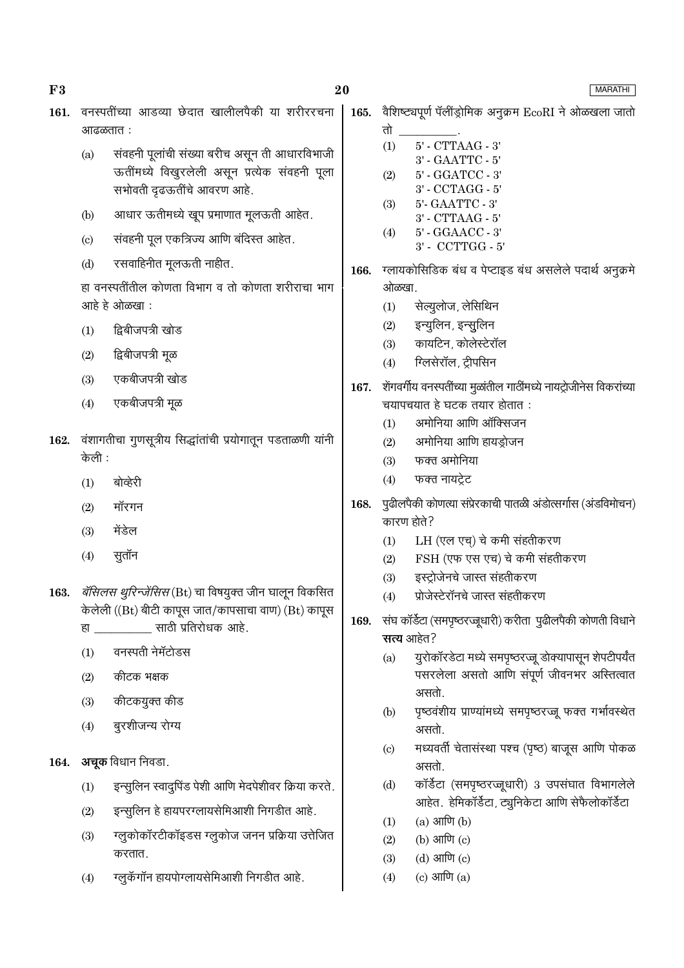| F3   |                            |                                                                                                                              | 20   |                                                                                    | <b>MARATHI</b>                                                                                                             |  |  |  |
|------|----------------------------|------------------------------------------------------------------------------------------------------------------------------|------|------------------------------------------------------------------------------------|----------------------------------------------------------------------------------------------------------------------------|--|--|--|
| 161. | आढळतात :                   | वनस्पतींच्या आडव्या छेदात खालीलपैकी या शरीररचना                                                                              | 165. | तो                                                                                 | वैशिष्ट्यपूर्ण पॅलींड्रोमिक अनुक्रम EcoRI ने ओळखला जातो                                                                    |  |  |  |
|      | (a)                        | संवहनी पूलांची संख्या बरीच असून ती आधारविभाजी<br>ऊतींमध्ये विखुरलेली असून प्रत्येक संवहनी पूला<br>सभोवती दृढऊतींचे आवरण आहे. |      | (1)<br>(2)                                                                         | $5'$ - $CTTAAG$ - $3'$<br>3' - GAATTC - 5'<br>$5'$ - GGATCC - $3'$<br>3' - CCTAGG - 5'                                     |  |  |  |
|      | (b)                        | आधार ऊतीमध्ये खूप प्रमाणात मूलऊती आहेत.                                                                                      |      | (3)                                                                                | 5'- GAATTC - 3'<br>$3'$ - $CTTAAG$ - $5'$                                                                                  |  |  |  |
|      | $\left( \mathrm{c}\right)$ | संवहनी पूल एकत्रिज्य आणि बंदिस्त आहेत.                                                                                       |      | (4)                                                                                | 5' - GGAACC - 3'<br>3' - CCTTGG - 5'                                                                                       |  |  |  |
|      | (d)                        | रसवाहिनीत मूलऊती नाहीत.                                                                                                      | 166. |                                                                                    | ग्लायकोसिडिक बंध व पेप्टाइड बंध असलेले पदार्थ अनुक्रमे                                                                     |  |  |  |
|      |                            | हा वनस्पतींतील कोणता विभाग व तो कोणता शरीराचा भाग<br>आहे हे ओळखा:                                                            |      | ओळखा.<br>(1)                                                                       | सेल्युलोज, लेसिथिन                                                                                                         |  |  |  |
|      | (1)                        | द्विबीजपत्री खोड                                                                                                             |      | (2)                                                                                | इन्युलिन, इन्सुलिन                                                                                                         |  |  |  |
|      | (2)                        | द्विबीजपत्री मूळ                                                                                                             |      | (3)<br>(4)                                                                         | कायटिन, कोलेस्टेरॉल<br>ग्लिसेरॉल, ट्रीपसिन                                                                                 |  |  |  |
|      | (3)                        | एकबीजपत्री खोड                                                                                                               |      |                                                                                    |                                                                                                                            |  |  |  |
|      | (4)                        | एकबीजपत्री मूळ                                                                                                               | 167. |                                                                                    | शेंगवर्गीय वनस्पतींच्या मुळांतील गाठींमध्ये नायट्रोजीनेस विकरांच्या<br>चयापचयात हे घटक तयार होतात :<br>अमोनिया आणि ऑक्सिजन |  |  |  |
| 162. | केली :                     | वंशागतीचा गुणसूत्रीय सिद्धांतांची प्रयोगातून पडताळणी यांनी                                                                   |      | (1)<br>(2)<br>(3)                                                                  | अमोनिया आणि हायड्रोजन<br>फक्त अमोनिया                                                                                      |  |  |  |
|      | (1)                        | बोव्हेरी                                                                                                                     |      | (4)                                                                                | फक्त नायट्रेट                                                                                                              |  |  |  |
|      | (2)                        | मॉरगन                                                                                                                        | 168. | कारण होते?                                                                         | पुढीलपैकी कोणत्या संप्रेरकाची पातळी अंडोत्सर्गास (अंडविमोचन)                                                               |  |  |  |
|      | (3)                        | मेंडेल                                                                                                                       |      | (1)                                                                                | LH (एल एच्) चे कमी संहतीकरण                                                                                                |  |  |  |
|      | (4)                        | सुतॉन                                                                                                                        |      | (2)                                                                                | FSH (एफ एस एच) चे कमी संहतीकरण                                                                                             |  |  |  |
| 163. |                            | बॅसिलस थुरिन्जेंसिस (Bt) चा विषयुक्त जीन घालून विकसित                                                                        |      | (3)                                                                                | इस्ट्रोजेनचे जास्त संहतीकरण                                                                                                |  |  |  |
|      |                            | केलेली ((Bt) बीटी कापूस जात/कापसाचा वाण) (Bt) कापूस                                                                          |      | (4)                                                                                | प्रोजेस्टेरॉनचे जास्त संहतीकरण                                                                                             |  |  |  |
|      |                            | हा साठी प्रतिरोधक आहे.                                                                                                       | 169. | संघ कॉर्डेटा (समपृष्ठरज्जूधारी) करीता  पुढीलपैकी कोणती विधाने<br><b>सत्य</b> आहेत? |                                                                                                                            |  |  |  |
|      | (1)                        | वनस्पती नेमॅटोडस                                                                                                             |      | (a)                                                                                | युरोकॉरडेटा मध्ये समपृष्ठरज्जू डोक्यापासून शेपटीपर्यंत                                                                     |  |  |  |
|      | (2)                        | कीटक भक्षक                                                                                                                   |      |                                                                                    | पसरलेला असतो आणि संपूर्ण जीवनभर अस्तित्वात                                                                                 |  |  |  |
|      | (3)                        | कीटकयुक्त कीड                                                                                                                |      | (b)                                                                                | असतो.<br>पृष्ठवंशीय प्राण्यांमध्ये समपृष्ठरज्जू फक्त गर्भावस्थेत                                                           |  |  |  |
|      | (4)                        | बुरशीजन्य रोग्य                                                                                                              |      |                                                                                    | असतो.                                                                                                                      |  |  |  |
| 164. |                            | अचूक विधान निवडा.                                                                                                            |      | $\left( \mathrm{c}\right)$                                                         | मध्यवर्ती चेतासंस्था पश्च (पृष्ठ) बाजूस आणि पोकळ<br>असतो.                                                                  |  |  |  |
|      | (1)                        | इन्सुलिन स्वादुपिंड पेशी आणि मेदपेशीवर क्रिया करते.                                                                          |      | (d)                                                                                | कॉर्डेटा (समपृष्ठरज्जूधारी) 3 उपसंघात विभागलेले<br>आहेत. हेमिकॉर्डेटा, ट्युनिकेटा आणि सेफैलोकॉर्डेटा                       |  |  |  |
|      | (2)                        | इन्सुलिन हे हायपरग्लायसेमिआशी निगडीत आहे.                                                                                    |      | (1)                                                                                | $(a)$ आणि $(b)$                                                                                                            |  |  |  |
|      | (3)                        | ग्लुकोकॉरटीकॉइडस ग्लुकोज जनन प्रक्रिया उत्तेजित                                                                              |      | (2)                                                                                | (b) आणि (c)                                                                                                                |  |  |  |
|      |                            | करतात.                                                                                                                       |      | (3)                                                                                | $(d)$ आणि $(c)$                                                                                                            |  |  |  |
|      | (4)                        | ग्लुकॅगॉन हायपोग्लायसेमिआशी निगडीत आहे.                                                                                      |      | (4)                                                                                | $(c)$ आणि $(a)$                                                                                                            |  |  |  |

 $\bf{F3}$ 

# $20\,$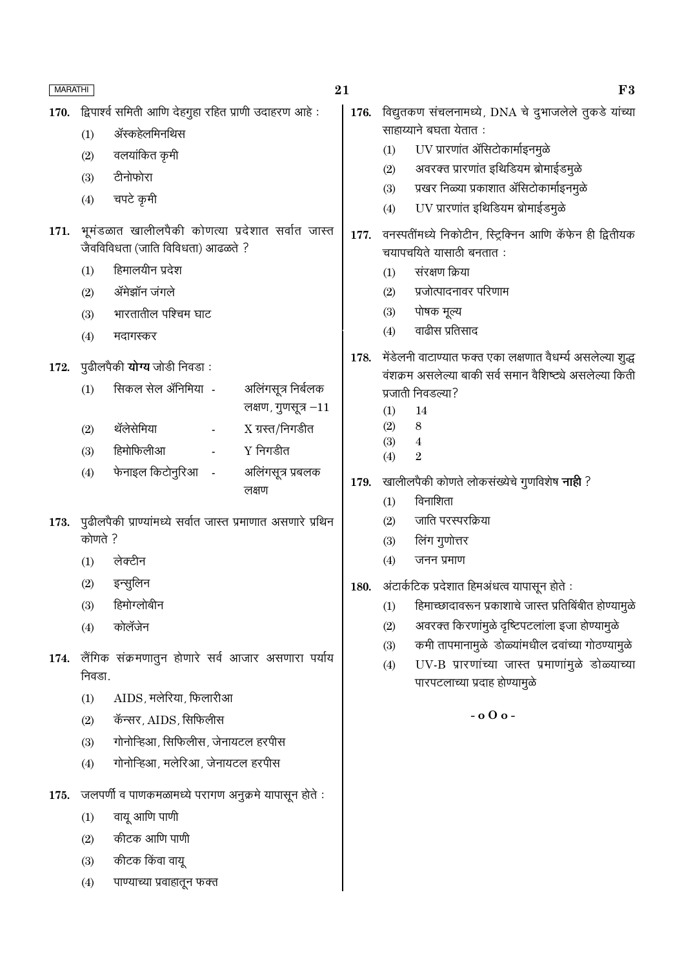| <b>MARATHI</b> |         |                                                              | 21                    |      |            | F3                                                          |
|----------------|---------|--------------------------------------------------------------|-----------------------|------|------------|-------------------------------------------------------------|
| 170.           |         | द्विपार्श्व समिती आणि देहगुहा रहित प्राणी उदाहरण आहे:        |                       | 176. |            | विद्युतकण संचलनामध्ये, DNA चे दुभाजलेले तुकडे यांच्या       |
|                | (1)     | ॲस्कहेलमिनथिस                                                |                       |      |            | साहाय्याने बघता येतात:                                      |
|                | (2)     | वलयांकित कृमी                                                |                       |      | (1)        | UV प्रारणांत ॲसिटोकार्माइनमुळे                              |
|                | (3)     | टीनोफोरा                                                     |                       |      | (2)        | अवरक्त प्रारणांत इथिडियम ब्रोमाईडमुळे                       |
|                | (4)     | चपटे कृमी                                                    |                       |      | (3)        | प्रखर निळ्या प्रकाशात ॲसिटोकार्माइनमुळे                     |
|                |         |                                                              |                       |      | (4)        | UV प्रारणांत इथिडियम ब्रोमाईडमुळे                           |
| 171.           |         | भूमंडळात खालीलपैकी कोणत्या प्रदेशात सर्वात जास्त             |                       | 177. |            | वनस्पतींमध्ये निकोटीन, स्ट्रिक्निन आणि कॅफेन ही द्वितीयक    |
|                |         | जैवविविधता (जाति विविधता) आढळते ?                            |                       |      |            | चयापचयिते यासाठी बनतात:                                     |
|                | (1)     | हिमालयीन प्रदेश                                              |                       |      | (1)        | संरक्षण क्रिया                                              |
|                | (2)     | ॲमेझॉन जंगले                                                 |                       |      | (2)        | प्रजोत्पादनावर परिणाम                                       |
|                | (3)     | भारतातील पश्चिम घाट                                          |                       |      | (3)        | पोषक मूल्य                                                  |
|                | (4)     | मदागस्कर                                                     |                       |      | (4)        | वाढीस प्रतिसाद                                              |
|                |         |                                                              |                       | 178. |            | मेंडेलनी वाटाण्यात फक्त एका लक्षणात वैधर्म्य असलेल्या शुद्ध |
| 172.           |         | पुढीलपैकी <b>योग्य</b> जोडी निवडा :                          |                       |      |            | वंशक्रम असलेल्या बाकी सर्व समान वैशिष्ट्ये असलेल्या किती    |
|                | (1)     | सिकल सेल ॲनिमिया -                                           | अलिंगसूत्र निर्बलक    |      |            | प्रजाती निवडल्या?                                           |
|                |         |                                                              | लक्षण, गुणसूत्र $-11$ |      | (1)        | 14<br>$\,8\,$                                               |
|                | (2)     | थॅलेसेमिया<br>$\Box$                                         | $X \pi$ रत/निगडीत     |      | (2)<br>(3) | $\overline{4}$                                              |
|                | (3)     | हिमोफिलीआ                                                    | $Y$ निगडीत            |      | (4)        | $\overline{2}$                                              |
|                | (4)     | फेनाइल किटोनुरिआ<br>$\sim$                                   | अलिंगसूत्र प्रबलक     | 179. |            | खालीलपैकी कोणते लोकसंख्येचे गुणविशेष <b>नाही</b> ?          |
|                |         |                                                              | लक्षण                 |      | (1)        | विनाशिता                                                    |
| 173.           |         | पुढीलपैकी प्राण्यांमध्ये सर्वात जास्त प्रमाणात असणारे प्रथिन |                       |      | (2)        | जाति परस्परक्रिया                                           |
|                | कोणते ? |                                                              |                       |      | (3)        | लिंग गुणोत्तर                                               |
|                | (1)     | लेक्टीन                                                      |                       |      | (4)        | जनन प्रमाण                                                  |
|                | (2)     | इन्सुलिन                                                     |                       | 180. |            | अंटार्कटिक प्रदेशात हिमअंधत्व यापासून होते :                |
|                | (3)     | हिमोग्लोबीन                                                  |                       |      | (1)        | हिमाच्छादावरून प्रकाशाचे जास्त प्रतिबिंबीत होण्यामुळे       |
|                | (4)     | कोलॅजेन                                                      |                       |      | (2)        | अवरक्त किरणांमुळे दृष्टिपटलांला इजा होण्यामुळे              |
|                |         |                                                              |                       |      | (3)        | कमी तापमानामुळे डोळ्यांमधील द्रवांच्या गोठण्यामुळे          |
| 174.           |         | लैंगिक संक्रमणातुन होणारे सर्व आजार असणारा पर्याय            |                       |      | (4)        | UV-B प्रारणांच्या जास्त प्रमाणांमुळे डोळ्याच्या             |
|                | निवडा.  |                                                              |                       |      |            | पारपटलाच्या प्रदाह होण्यामुळे                               |
|                | (1)     | AIDS, मलेरिया, फिलारीआ                                       |                       |      |            |                                                             |
|                | (2)     | कॅन्सर, AIDS, सिफिलीस                                        |                       |      |            | $-000 -$                                                    |
|                | (3)     | गोनोन्हिआ, सिफिलीस, जेनायटल हरपीस                            |                       |      |            |                                                             |
|                | (4)     | गोनोन्हिआ, मलेरिआ, जेनायटल हरपीस                             |                       |      |            |                                                             |
| 175.           |         | जलपर्णी व पाणकमळामध्ये परागण अनुक्रमे यापासून होते :         |                       |      |            |                                                             |
|                |         | वायू आणि पाणी                                                |                       |      |            |                                                             |
|                | (1)     |                                                              |                       |      |            |                                                             |
|                | (2)     | कीटक आणि पाणी                                                |                       |      |            |                                                             |
|                | (3)     | कीटक किंवा वायू                                              |                       |      |            |                                                             |
|                | (4)     | पाण्याच्या प्रवाहातून फक्त                                   |                       |      |            |                                                             |
|                |         |                                                              |                       |      |            |                                                             |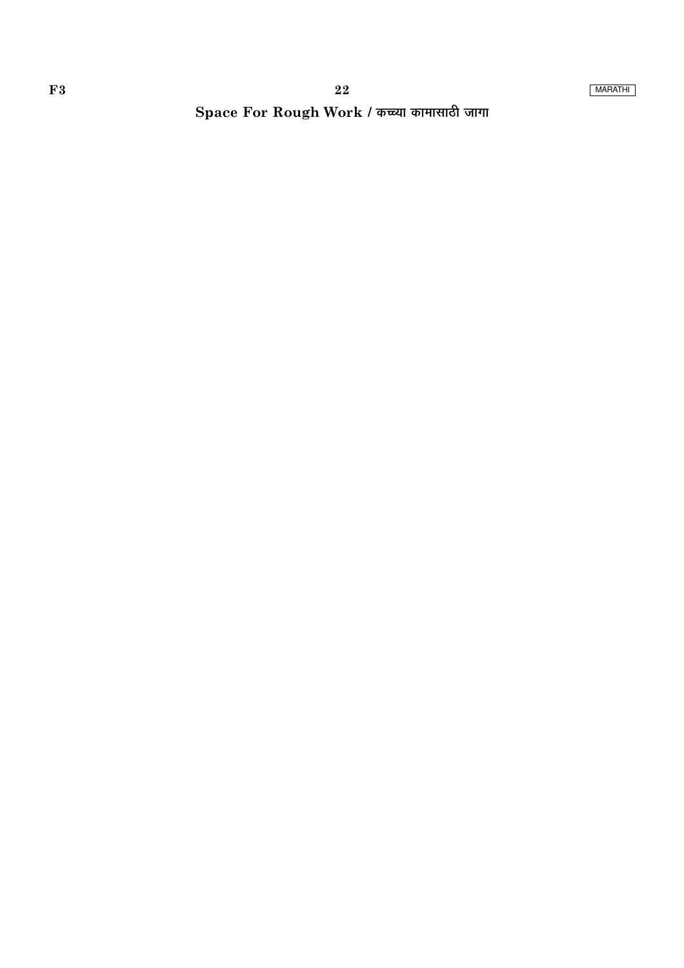Space For Rough Work / कच्च्या कामासाठी जागा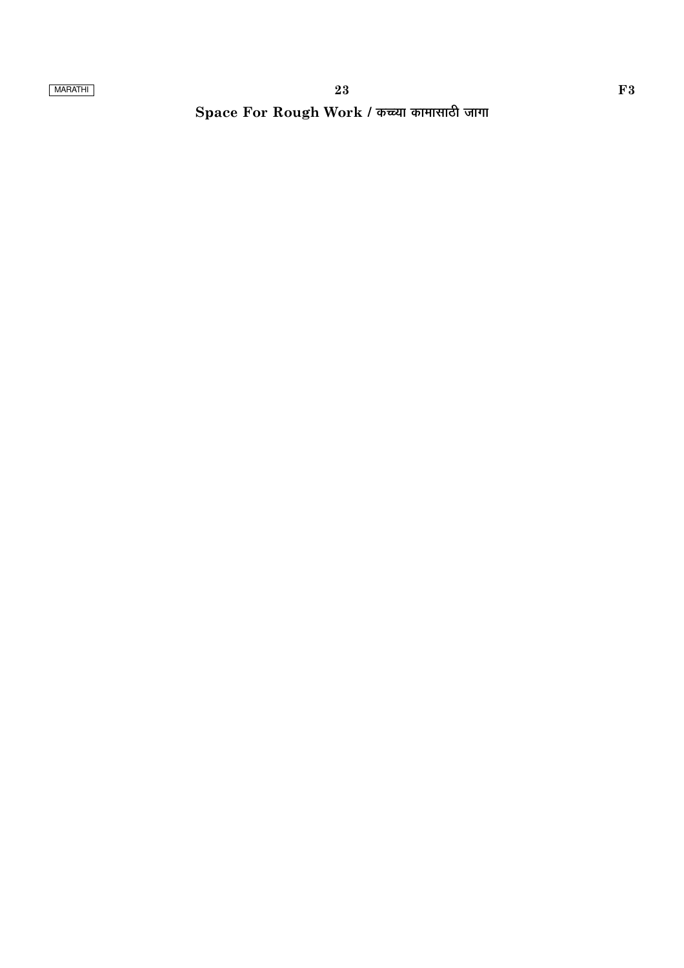# Space For Rough Work / कच्च्या कामासाठी जागा